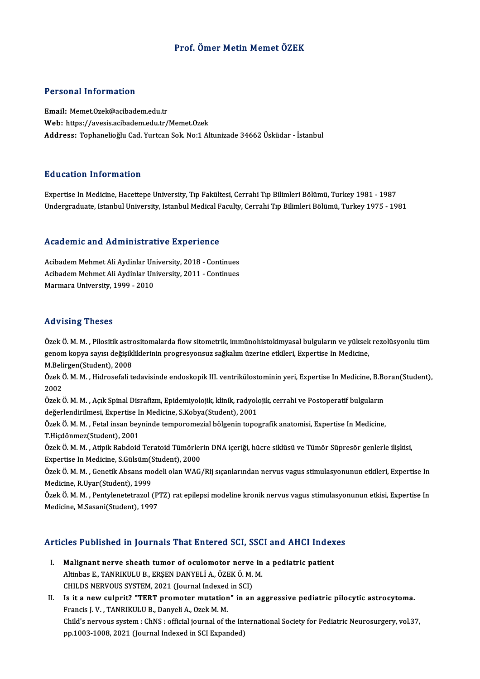### Prof. Ömer Metin Memet ÖZEK

### Personal Information

Email:Memet.Ozek@acibadem.edu.tr Web: https://avesis.acibadem.edu.tr/Memet.Ozek Address: Tophanelioğlu Cad. Yurtcan Sok. No:1 Altunizade 34662 Üsküdar - İstanbul

#### Education Information

Expertise In Medicine, Hacettepe University, Tıp Fakültesi, Cerrahi Tıp Bilimleri Bölümü, Turkey 1981 - 1987 Undergraduate, Istanbul University, Istanbul Medical Faculty, Cerrahi Tıp Bilimleri Bölümü, Turkey 1975 - 1981

# ondergraduate, istanbul oniversity, istanbul medical represents and Administrative Experience

Academic and Administrative Experience<br>Acibadem Mehmet Ali Aydinlar University, 2018 - Continues<br>Asibadem Mehmet Ali Aydinlar University, 2011 - Continues Acibadem Mehmet Ali Aydinlar University, 2018 - Continues<br>Acibadem Mehmet Ali Aydinlar University, 2011 - Continues Marmara University, 1999 - 2010

#### Advising Theses

Özek Ö.M.M., Pilositik astrositomalarda flow sitometrik, immünohistokimyasal bulguların ve yüksek rezolüsyonlu tüm genom kopya sayısı değişikliklerinin progresyonsuz sağkalım üzerine etkileri, Expertise In Medicine,

M.Belirgen(Student),2008

genom kopya sayısı değişikliklerinin progresyonsuz sağkalım üzerine etkileri, Expertise In Medicine,<br>M.Belirgen(Student), 2008<br>Özek Ö. M. M. , Hidrosefali tedavisinde endoskopik III. ventrikülostominin yeri, Expertise In M M.Beli<br>Özek (<br>2002 Özek Ö. M. M. , Hidrosefali tedavisinde endoskopik III. ventrikülostominin yeri, Expertise In Medicine, B.Bo<br>2002<br>Özek Ö. M. M. , Açık Spinal Disrafizm, Epidemiyolojik, klinik, radyolojik, cerrahi ve Postoperatif bulguları

2002<br>Özek Ö. M. M. , Açık Spinal Disrafizm, Epidemiyolojik, klinik, radyolo<br>değerlendirilmesi, Expertise In Medicine, S.Kobya(Student), 2001<br>Özek Ö. M. M., Estal insen beyninde temperemerial bölgenin tenes Özek Ö. M. M. , Açık Spinal Disrafizm, Epidemiyolojik, klinik, radyolojik, cerrahi ve Postoperatif bulguların<br>değerlendirilmesi, Expertise In Medicine, S.Kobya(Student), 2001<br>Özek Ö. M. M. , Fetal insan beyninde temporomez

değerlendirilmesi, Expertise In Medicine, S.Kobya(Student), 2001<br>Özek Ö. M. M. , Fetal insan beyninde temporomezial bölgenin topografik anatomisi, Expertise In Medicine,<br>T.Hiçdönmez(Student), 2001<br>Özek Ö. M. M. , Atipik Ra Özek Ö.M.M., Fetal insan beyninde temporomezial bölgenin topografik anatomisi, Expertise In Medicine,

Expertise In Medicine, S.Gülsüm(Student), 2000 Özek Ö. M. M. , Atipik Rabdoid Teratoid Tümörlerin DNA içeriği, hücre siklüsü ve Tümör Süpresör genlerle ilişkisi,<br>Expertise In Medicine, S.Gülsüm(Student), 2000<br>Özek Ö. M. M. , Genetik Absans modeli olan WAG/Rij sıçanları

Expertise In Medicine, S.Gülsüm(S.<br>Özek Ö. M. M. , Genetik Absans mo<br>Medicine, R.Uyar(Student), 1999<br>Özek Ö. M. M. , Bentulanatatrasal ( Özek Ö. M. M. , Genetik Absans modeli olan WAG/Rij sıçanlarından nervus vagus stimulasyonunun etkileri, Expertise In<br>Medicine, R.Uyar(Student), 1999<br>Özek Ö. M. M. , Pentylenetetrazol (PTZ) rat epilepsi modeline kronik nerv

Medicine, R.Uyar(Student), 1999<br>Özek Ö. M. M. , Pentylenetetrazol (PTZ) rat epilepsi modeline kronik nervus vagus stimulasyonunun etkisi, Expertise In<br>Medicine, M.Sasani(Student), 1997

# Medicine, M.Sasani(Suddent), 1997<br>Articles Published in Journals That Entered SCI, SSCI and AHCI Indexes

- Tricles Published in Journals That Entered SCI, SSCI and AHCI Index<br>I. Malignant nerve sheath tumor of oculomotor nerve in a pediatric patient Malignant nerve sheath tumor of oculomotor nerve in<br>Altinbas E., TANRIKULU B., ERŞEN DANYELİ A., ÖZEK Ö. M. M.<br>CHIL DS NERVOUS SYSTEM, 2021 (Journal Indoved in SCD) Malignant nerve sheath tumor of oculomotor nerve<br>Altinbas E., TANRIKULU B., ERŞEN DANYELİ A., ÖZEK Ö. M.<br>CHILDS NERVOUS SYSTEM, 2021 (Journal Indexed in SCI)<br>Is it a new sulnuit? "TERT premater mutation" in an CHILDS NERVOUS SYSTEM, 2021 (Journal Indexed in SCI)
- II. Is it a new culprit? "TERT promoter mutation" in an aggressive pediatric pilocytic astrocytoma.<br>Francis J. V., TANRIKULU B., Danyeli A., Ozek M. M. Is it a new culprit? "TERT promoter mutation" in an aggressive pediatric pilocytic astrocytoma.<br>Francis J. V. , TANRIKULU B., Danyeli A., Ozek M. M.<br>Child's nervous system : ChNS : official journal of the International Soc Francis J. V. , TANRIKULU B., Danyeli A., Ozek M. M.<br>Child's nervous system : ChNS : official journal of the Int<br>pp.1003-1008, 2021 (Journal Indexed in SCI Expanded)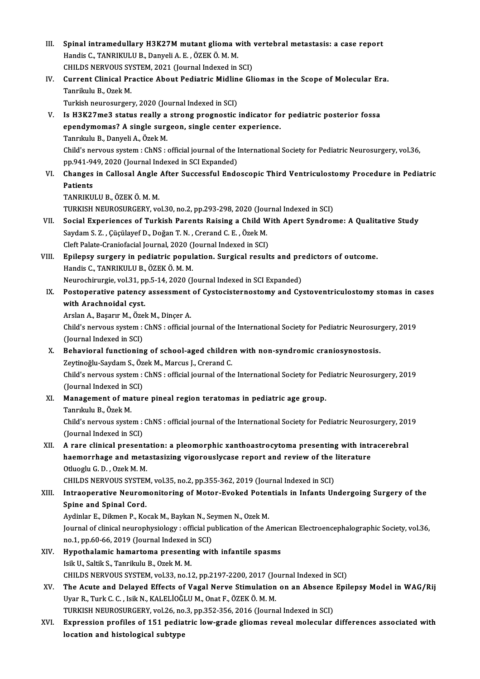III. Spinal intramedullary H3K27M mutant glioma with vertebral metastasis: a case report Spinal intramedullary H3K27M mutant glioma w<br>Handis C., TANRIKULU B., Danyeli A. E. , ÖZEK Ö. M. M.<br>CHILDS NERVOUS SYSTEM 2021 (Jaurnal Indeved in Spinal intramedullary H3K27M mutant glioma with<br>Handis C., TANRIKULU B., Danyeli A. E. , ÖZEK Ö. M. M.<br>CHILDS NERVOUS SYSTEM, 2021 (Journal Indexed in SCI)<br>Cunnent Clinical Prastice About Bodiatric Midline Cli Handis C., TANRIKULU B., Danyeli A. E. , ÖZEK Ö. M. M.<br>CHILDS NERVOUS SYSTEM, 2021 (Journal Indexed in SCI)<br>IV. Current Clinical Practice About Pediatric Midline Gliomas in the Scope of Molecular Era.<br>Tenrikyly B. Ozek M. CHILDS NERVOUS SYSTEM, 2021 (Journal Indexed in SCI)<br>Current Clinical Practice About Pediatric Midline Gl<br>Tanrikulu B., Ozek M.<br>Turkish neurosurgery, 2020 (Journal Indexed in SCI) Current Clinical Practice About Pediatric Midlin<br>Tanrikulu B., Ozek M.<br>Turkish neurosurgery, 2020 (Journal Indexed in SCI)<br>Is H2K27me3 status really a strang prognastic. Tanrikulu B., Ozek M.<br>Turkish neurosurgery, 2020 (Journal Indexed in SCI)<br>V. Is H3K27me3 status really a strong prognostic indicator for pediatric posterior fossa<br>2000dymomas2 A single surgeen, single center experience Turkish neurosurgery, 2020 (Journal Indexed in SCI)<br>Is H3K27me3 status really a strong prognostic indicator fo<br>ependymomas? A single surgeon, single center experience.<br>Tanrikulu B. Danveli A. Özek M Is H3K27me3 status really a<br>ependymomas? A single surg<br>Tanrıkulu B., Danyeli A., Özek M.<br>Child's nervous system : ChNS : ependymomas? A single surgeon, single center experience.<br>Tanrıkulu B., Danyeli A., Özek M.<br>Child's nervous system : ChNS : official journal of the International Society for Pediatric Neurosurgery, vol.36,<br>np 941-949-2020 ( Tanrıkulu B., Danyeli A., Özek M.<br>Child's nervous system : ChNS : official journal of the I<br>pp.941-949, 2020 (Journal Indexed in SCI Expanded)<br>Changes in Callesal Angle After Sussessful Ende VI. Changes in Callosal Angle After Successful Endoscopic Third Ventriculostomy Procedure in Pediatric<br>Patients pp.941-949, 2020 (Journal Indexed in SCI Expanded) TANRIKULUB.,ÖZEKÖ.M.M. Patients<br>TANRIKULU B., ÖZEK Ö. M. M.<br>TURKISH NEUROSURGERY, vol.30, no.2, pp.293-298, 2020 (Journal Indexed in SCI)<br>Segial Eunerianese of Turkish Benents Beising e Child With Aport Sundner TANRIKULU B., ÖZEK Ö. M. M.<br>TURKISH NEUROSURGERY, vol.30, no.2, pp.293-298, 2020 (Journal Indexed in SCI)<br>VII. Social Experiences of Turkish Parents Raising a Child With Apert Syndrome: A Qualitative Study<br>Saydam S. 7 . Gü TURKISH NEUROSURGERY, vol.30, no.2, pp.293-298, 2020 (Jou<br>Social Experiences of Turkish Parents Raising a Child W<br>Saydam S. Z. , Çüçülayef D., Doğan T. N. , Crerand C. E. , Özek M.<br>Cleft Pelate Crepisfesial Journal 2020 (J Social Experiences of Turkish Parents Raising a Child W<br>Saydam S. Z. , Çüçülayef D., Doğan T. N. , Crerand C. E. , Özek M.<br>Cleft Palate-Craniofacial Journal, 2020 (Journal Indexed in SCI)<br>Enilaney euroery in nodiatrie popu Saydam S. Z. , Çüçülayef D., Doğan T. N. , Crerand C. E. , Özek M.<br>Cleft Palate-Craniofacial Journal, 2020 (Journal Indexed in SCI)<br>VIII. Epilepsy surgery in pediatric population. Surgical results and predictors of outcome Cleft Palate-Craniofacial Journal, 2020 ()<br>Epilepsy surgery in pediatric popul<br>Handis C., TANRIKULU B., ÖZEK Ö. M. M.<br>Naunashimuzia val 31 nn 5 14 2020 (L Epilepsy surgery in pediatric population. Surgical results and productions of the Mandis C., TANRIKULU B., ÖZEK Ö. M. M.<br>Neurochirurgie, vol.31, pp.5-14, 2020 (Journal Indexed in SCI Expanded)<br>Postoperative patency assessm Handis C., TANRIKULU B., ÖZEK Ö. M. M.<br>Neurochirurgie, vol.31, pp.5-14, 2020 (Journal Indexed in SCI Expanded)<br>IX. Postoperative patency assessment of Cystocisternostomy and Cystoventriculostomy stomas in cases<br>with Arashn Neurochirurgie, vol.31, pp.5-14, 2020 (Journal Indexed in SCI Expanded)<br>Postoperative patency assessment of Cystocisternostomy and Cy<br>with Arachnoidal cyst. Postoperative patency assessment<br>with Arachnoidal cyst.<br>Arslan A., Başarır M., Özek M., Dinçer A.<br>Child's nervous system : ChNS : official i Child's nervous system: ChNS : official journal of the International Society for Pediatric Neurosurgery, 2019<br>(Journal Indexed in SCI) Arslan A., Başarır M., Özek M., Dinçer A. Child's nervous system : ChNS : official journal of the International Society for Pediatric Neurosur<br>(Journal Indexed in SCI)<br>X. Behavioral functioning of school-aged children with non-syndromic craniosynostosis.<br>Zoutinoğl (Journal Indexed in SCI)<br>Behavioral functioning of school-aged childre<br>Zeytinoğlu-Saydam S., Özek M., Marcus J., Crerand C.<br>Child's nervous system : ChNS : efficial jeurnal of the Behavioral functioning of school-aged children with non-syndromic craniosynostosis.<br>Zeytinoğlu-Saydam S., Özek M., Marcus J., Crerand C.<br>Child's nervous system : ChNS : official journal of the International Society for Ped Zeytinoğlu-Saydam S., Öz<br>Child's nervous system :<br>(Journal Indexed in SCI)<br>Manazamant of matur Child's nervous system : ChNS : official journal of the International Society for Pe<br>(Journal Indexed in SCI)<br>XI. Management of mature pineal region teratomas in pediatric age group.<br>Tenriculu B. Özek M. (Journal Indexed in SCI)<br>XI. Management of mature pineal region teratomas in pediatric age group.<br>Tanrıkulu B., Özek M. Management of mature pineal region teratomas in pediatric age group.<br>Tanrıkulu B., Özek M.<br>Child's nervous system : ChNS : official journal of the International Society for Pediatric Neurosurgery, 2019<br>(Jaunnal Indeved in Tanrıkulu B., Özek M.<br>Child's nervous system :<br>(Journal Indexed in SCI)<br>A rane clinical present Child's nervous system : ChNS : official journal of the International Society for Pediatric Neurosurgery, 201<br>(Journal Indexed in SCI)<br>XII. A rare clinical presentation: a pleomorphic xanthoastrocytoma presenting with intr (Journal Indexed in SCI)<br>A rare clinical presentation: a pleomorphic xanthoastrocytoma presenting with intr<br>haemorrhage and metastasizing vigorouslycase report and review of the literature<br>Othiogh: C. D., Oral: M. M. **A rare clinical presenta<br>haemorrhage and meta<br>Otluoglu G.D., Ozek M.M.<br>CHILDS NEPVOUS SVSTEN** haemorrhage and metastasizing vigorouslycase report and review of the following the computation of the settlem of the settlem of the computation of the computation of Matter System, which is consistent to the computation o Otluoglu G. D. , Ozek M. M.<br>CHILDS NERVOUS SYSTEM, vol.35, no.2, pp.355-362, 2019 (Journal Indexed in SCI)<br>XIII. Intraoperative Neuromonitoring of Motor-Evoked Potentials in Infants Undergoing Surgery of the<br>Spine and Spin CHILDS NERVOUS SYSTEM<br>Intraoperative Neuron<br>Spine and Spinal Cord.<br>Avdinlar E. Dilmon B. Ko Intraoperative Neuromonitoring of Motor-Evoked Poter<br>Spine and Spinal Cord.<br>Aydinlar E., Dikmen P., Kocak M., Baykan N., Seymen N., Ozek M.<br>Journal of clinical neurophysiology : official publication of the A Journal of clinical neurophysiology : official publication of the American Electroencephalographic Society, vol.36, Aydinlar E., Dikmen P., Kocak M., Baykan N., Se<br>Journal of clinical neurophysiology : official pu<br>no.1, pp.60-66, 2019 (Journal Indexed in SCI)<br>Hunothalamia hamartama presenting wit XIV. Hypothalamic hamartoma presenting with infantile spasms<br>Isik U., Saltik S., Tanrikulu B., Ozek M. M. no.1, pp.60-66, 2019 (Journal Indexed in SCI) CHILDS NERVOUS SYSTEM, vol.33, no.12, pp.2197-2200, 2017 (Journal Indexed in SCI) Isik U., Saltik S., Tanrikulu B., Ozek M. M.<br>CHILDS NERVOUS SYSTEM, vol.33, no.12, pp.2197-2200, 2017 (Journal Indexed in SCI)<br>XV. The Acute and Delayed Effects of Vagal Nerve Stimulation on an Absence Epilepsy Model in WA CHILDS NERVOUS SYSTEM, vol.33, no.12, pp.2197-2200, 2017 (Jo<br>The Acute and Delayed Effects of Vagal Nerve Stimulation<br>Uyar R., Turk C. C. , Isik N., KALELİOĞLU M., Onat F., ÖZEK Ö. M. M.<br>TURKISH NEUROSURCERY vol.26, no.2, The Acute and Delayed Effects of Vagal Nerve Stimulation on an Absence<br>Uyar R., Turk C. C. , Isik N., KALELİOĞLU M., Onat F., ÖZEK Ö. M. M.<br>TURKISH NEUROSURGERY, vol.26, no.3, pp.352-356, 2016 (Journal Indexed in SCI)<br>Eunn Uyar R., Turk C. C. , Isik N., KALELİOĞLU M., Onat F., ÖZEK Ö. M. M.<br>TURKISH NEUROSURGERY, vol.26, no.3, pp.352-356, 2016 (Journal Indexed in SCI)<br>XVI. Expression profiles of 151 pediatric low-grade gliomas reveal mole TURKISH NEUROSURGERY, vol.26, no<br>Expression profiles of 151 pedia<br>location and histological subtype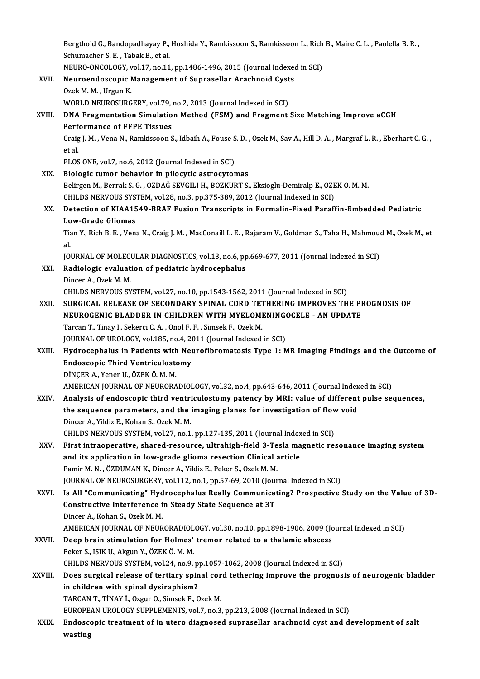Bergthold G., Bandopadhayay P., Hoshida Y., Ramkissoon S., Ramkissoon L., Rich B., Maire C. L. , Paolella B. R. ,<br>Sehymashar S. E., Tabel: B. et el. Bergthold G., Bandopadhayay P.,<br>Schumacher S. E. , Tabak B., et al.<br>NEUPO ONCOLOCY, vol.17, no.11 Bergthold G., Bandopadhayay P., Hoshida Y., Ramkissoon S., Ramkissoon L., Rich<br>Schumacher S. E. , Tabak B., et al.<br>NEURO-ONCOLOGY, vol.17, no.11, pp.1486-1496, 2015 (Journal Indexed in SCI)<br>Neuroendossonis Manassmant of Su Schumacher S. E. , Tabak B., et al.<br>NEURO-ONCOLOGY, vol.17, no.11, pp.1486-1496, 2015 (Journal Indexer<br>XVII. Neuroendoscopic Management of Suprasellar Arachnoid Cysts<br>Ozek M. M. Urgun K. NEURO-ONCOLOGY, vol.17, no.11, pp.1486-1496, 2015 (Journal Indexed in SCI)<br>Neuroendoscopic Management of Suprasellar Arachnoid Cysts<br>Ozek M. M. , Urgun K.<br>WORLD NEUROSURGERY, vol.79, no.2, 2013 (Journal Indexed in SCI) Neuroendoscopic Management of Suprasellar Arachnoid Cyst<br>Ozek M. M., Urgun K.<br>WORLD NEUROSURGERY, vol.79, no.2, 2013 (Journal Indexed in SCI)<br>DNA Exagmentation Simulation Method (ESM) and Exagment. Ozek M. M. , Urgun K.<br>WORLD NEUROSURGERY, vol.79, no.2, 2013 (Journal Indexed in SCI)<br>XVIII. DNA Fragmentation Simulation Method (FSM) and Fragment Size Matching Improve aCGH<br>Performance of EEBE Tissues WORLD NEUROSURGERY, vol.79,<br>DNA Fragmentation Simulatio<br>Performance of FFPE Tissues<br>Crais J. M., Vona N., Bamkissoon S DNA Fragmentation Simulation Method (FSM) and Fragment Size Matching Improve aCGH<br>Performance of FFPE Tissues<br>Craig J. M. , Vena N., Ramkissoon S., Idbaih A., Fouse S. D. , Ozek M., Sav A., Hill D. A. , Margraf L. R. , Ebe Perf<br>Craig<br>et al.<br>PLOS Craig J. M. , Vena N., Ramkissoon S., Idbaih A., Fouse S<br>et al.<br>PLOS ONE, vol.7, no.6, 2012 (Journal Indexed in SCI)<br>Pielogis tumer behavior in pilogytic estregyter et al.<br>PLOS ONE, vol.7, no.6, 2012 (Journal Indexed in SCI)<br>XIX. Biologic tumor behavior in pilocytic astrocytomas Belirgen M., Berrak S. G. , ÖZDAĞ SEVGİLİ H., BOZKURT S., Eksioglu-Demiralp E., ÖZEKÖ.M.M. Biologic tumor behavior in pilocytic astrocytomas<br>Belirgen M., Berrak S. G. , ÖZDAĞ SEVGİLİ H., BOZKURT S., Eksioglu-Demiralp E., ÖZE<br>CHILDS NERVOUS SYSTEM, vol.28, no.3, pp.375-389, 2012 (Journal Indexed in SCI)<br>Detection XX. Detection of KIAA1549-BRAF Fusion Transcripts in Formalin-Fixed Paraffin-Embedded Pediatric CHILDS NERVOUS SYS<br>Detection of KIAA15<br>Low-Grade Gliomas<br>Tian Y. Bish B. E. Ven Detection of KIAA1549-BRAF Fusion Transcripts in Formalin-Fixed Paraffin-Embedded Pediatric<br>Low-Grade Gliomas<br>Tian Y., Rich B. E. , Vena N., Craig J. M. , MacConaill L. E. , Rajaram V., Goldman S., Taha H., Mahmoud M., Oze Lo<br>Tia<br>IOI Tian Y., Rich B. E. , Vena N., Craig J. M. , MacConaill L. E. , Rajaram V., Goldman S., Taha H., Mahmou<mark>d</mark><br>al.<br>JOURNAL OF MOLECULAR DIAGNOSTICS, vol.13, no.6, pp.669-677, 2011 (Journal Indexed in SCI)<br>Padialagia evaluation al.<br>JOURNAL OF MOLECULAR DIAGNOSTICS, vol.13, no.6, pp<br>XXI. Radiologic evaluation of pediatric hydrocephalus<br>Dincer A., Ozek M. M. JOURNAL OF MOLECULAR DIAGNOSTICS, vol.13, no.6, pp.669-677, 2011 (Journal Indexed in SCI) CHILDS NERVOUS SYSTEM, vol.27, no.10, pp.1543-1562, 2011 (Journal Indexed in SCI) Dincer A., Ozek M. M.<br>CHILDS NERVOUS SYSTEM, vol.27, no.10, pp.1543-1562, 2011 (Journal Indexed in SCI)<br>XXII. SURGICAL RELEASE OF SECONDARY SPINAL CORD TETHERING IMPROVES THE PROGNOSIS OF<br>NEUPOCENIC BLADDER IN CHILDREN WIT CHILDS NERVOUS SYSTEM, vol.27, no.10, pp.1543-1562, 2011 (Journal Indexed in SCI)<br>SURGICAL RELEASE OF SECONDARY SPINAL CORD TETHERING IMPROVES THE PI<br>NEUROGENIC BLADDER IN CHILDREN WITH MYELOMENINGOCELE - AN UPDATE<br>Tarcan SURGICAL RELEASE OF SECONDARY SPINAL CORD TET<br>NEUROGENIC BLADDER IN CHILDREN WITH MYELOMI<br>Tarcan T., Tinay I., Sekerci C.A. , Onol F. F. , Simsek F., Ozek M.<br>JOUPMAL OF UPOLOCY .vol.125, no.4, 2011 (Journal Indoved NEUROGENIC BLADDER IN CHILDREN WITH MYELOMENING<br>Tarcan T., Tinay I., Sekerci C. A. , Onol F. F. , Simsek F., Ozek M.<br>JOURNAL OF UROLOGY, vol.185, no.4, 2011 (Journal Indexed in SCI)<br>Hydrogenhalus in Batients with Nourofibr Tarcan T., Tinay I., Sekerci C. A. , Onol F. F. , Simsek F., Ozek M.<br>JOURNAL OF UROLOGY, vol.185, no.4, 2011 (Journal Indexed in SCI)<br>XXIII. Hydrocephalus in Patients with Neurofibromatosis Type 1: MR Imaging Findings and JOURNAL OF UROLOGY, vol.185, no.4, 20<br>Hydrocephalus in Patients with Neu<br>Endoscopic Third Ventriculostomy<br>DiNCEP A Vener U ÖZEK Ö M M DİNÇERA.,YenerU.,ÖZEKÖ.M.M. AMERICAN JOURNAL OF NEURORADIOLOGY, vol.32, no.4, pp.643-646, 2011 (Journal Indexed in SCI) XXIV. Analysis of endoscopic third ventriculostomy patency byMRI: value of different pulse sequences, AMERICAN JOURNAL OF NEURORADIOLOGY, vol.32, no.4, pp.643-646, 2011 (Journal Index<br>Analysis of endoscopic third ventriculostomy patency by MRI: value of different<br>the sequence parameters, and the imaging planes for investig Analysis of endoscopic third ventriche sequence parameters, and the<br>Dincer A., Yildiz E., Kohan S., Ozek M. M.<br>CHILDS NERVOUS SYSTEM vol 27, no 1 the sequence parameters, and the imaging planes for investigation of flow<br>Dincer A., Yildiz E., Kohan S., Ozek M. M.<br>CHILDS NERVOUS SYSTEM, vol.27, no.1, pp.127-135, 2011 (Journal Indexed in SCI)<br>Finst intreaperative, shan Dincer A., Yildiz E., Kohan S., Ozek M. M.<br>CHILDS NERVOUS SYSTEM, vol.27, no.1, pp.127-135, 2011 (Journal Indexed in SCI)<br>XXV. First intraoperative, shared-resource, ultrahigh-field 3-Tesla magnetic resonance imaging syste

CHILDS NERVOUS SYSTEM, vol.27, no.1, pp.127-135, 2011 (Journal Index<br>First intraoperative, shared-resource, ultrahigh-field 3-Tesla ma<br>and its application in low-grade glioma resection Clinical article<br>Persin M.N., ÖZDIMAN First intraoperative, shared-resource, ultrahigh-field 3-Te<br>and its application in low-grade glioma resection Clinical a<br>Pamir M.N., ÖZDUMAN K., Dincer A., Yildiz E., Peker S., Ozek M. M.<br>JOUPMAL OF NEUPOSUPCEPY vol 112 no and its application in low-grade glioma resection Clinical article<br>Pamir M. N. , ÖZDUMAN K., Dincer A., Yildiz E., Peker S., Ozek M. M.<br>JOURNAL OF NEUROSURGERY, vol.112, no.1, pp.57-69, 2010 (Journal Indexed in SCI)<br>Is All Pamir M. N. , ÖZDUMAN K., Dincer A., Yildiz E., Peker S., Ozek M. M.<br>JOURNAL OF NEUROSURGERY, vol.112, no.1, pp.57-69, 2010 (Journal Indexed in SCI)<br>XXVI. Is All "Communicating" Hydrocephalus Really Communicating? Prospect

JOURNAL OF NEUROSURGERY, vol.112, no.1, pp.57-69, 2010 (Journal Is All "Communicating" Hydrocephalus Really Communication<br>Constructive Interference in Steady State Sequence at 3T<br>Dincer A, Koban S, Orek M, M **Is All "Communicating" Hyd<br>Constructive Interference i**<br>Dincer A., Kohan S., Ozek M. M.<br>AMERICAN IOURNAL OF NEUP Constructive Interference in Steady State Sequence at 3T<br>Dincer A., Kohan S., Ozek M. M.<br>AMERICAN JOURNAL OF NEURORADIOLOGY, vol.30, no.10, pp.1898-1906, 2009 (Journal Indexed in SCI)<br>Deep hrain stimulation for Helmes' tre

Dincer A., Kohan S., Ozek M. M.<br>AMERICAN JOURNAL OF NEURORADIOLOGY, vol.30, no.10, pp.1898-1906, 2009 (Journal of New Y., Deep brain stimulation for Holmes' tremor related to a thalamic abscess<br>Peker S., ISIK U., Akgun Y., AMERICAN JOURNAL OF NEURORADIOL<br>Deep brain stimulation for Holmes'<br>Peker S., ISIK U., Akgun Y., ÖZEK Ö. M. M.<br>CHU DS NEPVOUS SYSTEM vol 24. Do 9. Deep brain stimulation for Holmes' tremor related to a thalamic abscess<br>Peker S., ISIK U., Akgun Y., ÖZEK Ö. M. M.<br>CHILDS NERVOUS SYSTEM, vol.24, no.9, pp.1057-1062, 2008 (Journal Indexed in SCI)<br>Dess surgisel release of t Peker S., ISIK U., Akgun Y., ÖZEK Ö. M. M.<br>CHILDS NERVOUS SYSTEM, vol.24, no.9, pp.1057-1062, 2008 (Journal Indexed in SCI)<br>XXVIII. Does surgical release of tertiary spinal cord tethering improve the prognosis of neuro

CHILDS NERVOUS SYSTEM, vol.24, no.9, p<br>Does surgical release of tertiary spin<br>in children with spinal dysiraphism?<br>TARGAN T. TiNAY i. Ozzur Q. Simsek E. G Does surgical release of tertiary spinal cor<br>in children with spinal dysiraphism?<br>TARCAN T., TİNAY İ., Ozgur O., Simsek F., Ozek M.<br>FUROPEAN UROLOCY SUPPLEMENTS, vol.7, no.2 in children with spinal dysiraphism?<br>TARCAN T., TİNAY İ., Ozgur O., Simsek F., Ozek M.<br>EUROPEAN UROLOGY SUPPLEMENTS, vol.7, no.3, pp.213, 2008 (Journal Indexed in SCI)<br>Endossenis treatment of in utere disspessed supresslle

TARCAN T., TİNAY İ., Ozgur O., Simsek F., Ozek M.<br>EUROPEAN UROLOGY SUPPLEMENTS, vol.7, no.3, pp.213, 2008 (Journal Indexed in SCI)<br>XXIX. Endoscopic treatment of in utero diagnosed suprasellar arachnoid cyst and development EUROPE<br><mark>Endosc</mark>e<br>wasting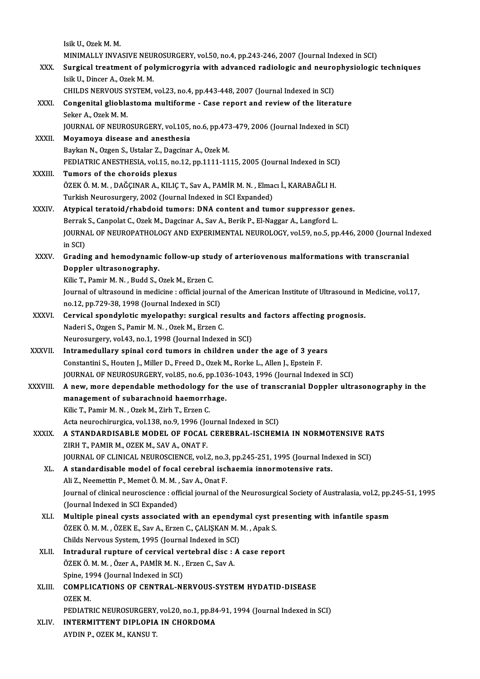IsikU.,OzekM.M. Isik U., Ozek M. M.<br>MINIMALLY INVASIVE NEUROSURGERY, vol.50, no.4, pp.243-246, 2007 (Journal Indexed in SCI)<br>Surgical treatment of nolymicrogynic with advanced nadiologie and nouronhygiologie XXX. Surgical treatment of polymicrogyria with advanced radiologic and neurophysiologic techniques<br>Isik U., Dincer A., Ozek M. M. MINIMALLY INVASIVE NEU<mark>l</mark><br>Surgical treatment of pol<br>Isik U., Dincer A., Ozek M. M.<br>CHIL DS NERVOUS SYSTEM Surgical treatment of polymicrogyria with advanced radiologic and neuro<br>Isik U., Dincer A., Ozek M. M.<br>CHILDS NERVOUS SYSTEM, vol.23, no.4, pp.443-448, 2007 (Journal Indexed in SCI)<br>Congenital glichlastema multiforme... Ca Isik U., Dincer A., Ozek M. M.<br>CHILDS NERVOUS SYSTEM, vol.23, no.4, pp.443-448, 2007 (Journal Indexed in SCI)<br>XXXI. Congenital glioblastoma multiforme - Case report and review of the literature<br>Sekar A. Ozek M. M. **CHILDS NERVOUS S<br>Congenital gliobla**<br>Seker A., Ozek M. M.<br>JOUPMAL OF NEUPC Congenital glioblastoma multiforme - Case report and review of the literature<br>Seker A., Ozek M. M.<br>JOURNAL OF NEUROSURGERY, vol.105, no.6, pp.473-479, 2006 (Journal Indexed in SCI)<br>Movemove disease and anesthesia Seker A., Ozek M. M.<br>JOURNAL OF NEUROSURGERY, vol.105,<br>XXXII. Moyamoya disease and anesthesia JOURNAL OF NEUROSURGERY, vol.105, no.6, pp.473<br>Moyamoya disease and anesthesia<br>Baykan N., Ozgen S., Ustalar Z., Dagcinar A., Ozek M.<br>PEDIATRIC ANESTHESIA .vol.15, no.13, nn.1111.11 Moyamoya disease and anesthesia<br>Baykan N., Ozgen S., Ustalar Z., Dagcinar A., Ozek M.<br>PEDIATRIC ANESTHESIA, vol.15, no.12, pp.1111-1115, 2005 (Journal Indexed in SCI)<br>Tumors of the choroids plexus Baykan N., Ozgen S., Ustalar Z., Dagcinar A., Ozek M.<br>PEDIATRIC ANESTHESIA, vol.15, no.12, pp.1111-11<br>XXXIII. Tumors of the choroids plexus ÖZEKÖ.M.M. ,DAĞÇINARA.,KILIÇT.,SavA.,PAMİRM.N. ,Elmacı İ.,KARABAĞLIH. Turkish Neurosurgery, 2002 (Journal Indexed in SCI Expanded) XXXIV. Atypical teratoid/rhabdoid tumors: DNA content and tumor suppressor genes. Turkish Neurosurgery, 2002 (Journal Indexed in SCI Expanded)<br><mark>Atypical teratoid/rhabdoid tumors: DNA content and tumor suppressor ge</mark><br>Berrak S., Canpolat C., Ozek M., Dagcinar A., Sav A., Berik P., El-Naggar A., Langford L JOURNAL OF NEUROPATHOLOGY AND EXPERIMENTAL NEUROLOGY, vol.59, no.5, pp.446, 2000 (Journal Indexed<br>in SCI) Berrak<br>JOURNA<br>in SCI)<br>Gradin JOURNAL OF NEUROPATHOLOGY AND EXPERIMENTAL NEUROLOGY, vol.59, no.5, pp.446, 2000 (Journal In<br>in SCI)<br>XXXV. Grading and hemodynamic follow-up study of arteriovenous malformations with transcranial<br>peoples ultrasonography in SCI)<br>Grading and hemodynamic<br>Doppler ultrasonography.<br><sup>Vilia T. Domin M. N. Budd S. (</sup> Grading and hemodynamic follow-up stue<br>Doppler ultrasonography.<br>Kilic T., Pamir M. N. , Budd S., Ozek M., Erzen C.<br>Journal of ultrasound in modising : official jour Doppler ultrasonography.<br>Kilic T., Pamir M. N. , Budd S., Ozek M., Erzen C.<br>Journal of ultrasound in medicine : official journal of the American Institute of Ultrasound in Medicine, vol.17, no.12, pp.729-38, 1998 (Journal Indexed in SCI) Journal of ultrasound in medicine : official journal of the American Institute of Ultrasound in<br>no.12, pp.729-38, 1998 (Journal Indexed in SCI)<br>XXXVI. Cervical spondylotic myelopathy: surgical results and factors affecting no.12, pp.729-38, 1998 (Journal Indexed in SCI)<br>Cervical spondylotic myelopathy: surgical renderi S., Ozgen S., Pamir M. N. , Ozek M., Erzen C.<br>Naurosurgary, vol.43, no.1, 1998 (Journal Indove Cervical spondylotic myelopathy: surgical results and<br>Naderi S., Ozgen S., Pamir M. N. , Ozek M., Erzen C.<br>Neurosurgery, vol.43, no.1, 1998 (Journal Indexed in SCI)<br>Intramedullary, spinal sord tumors in shildron unde Naderi S., Ozgen S., Pamir M. N., Ozek M., Erzen C.<br>Neurosurgery, vol.43, no.1, 1998 (Journal Indexed in SCI)<br>XXXVII. Intramedullary spinal cord tumors in children under the age of 3 years<br>Constantini S. Houton L. Miller D Neurosurgery, vol.43, no.1, 1998 (Journal Indexed in SCI)<br>Intramedullary spinal cord tumors in children under the age of 3 year<br>Constantini S., Houten J., Miller D., Freed D., Ozek M., Rorke L., Allen J., Epstein F.<br>JOURNA Intramedullary spinal cord tumors in children under the age of 3 years<br>Constantini S., Houten J., Miller D., Freed D., Ozek M., Rorke L., Allen J., Epstein F.<br>JOURNAL OF NEUROSURGERY, vol.85, no.6, pp.1036-1043, 1996 (Jour Constantini S., Houten J., Miller D., Freed D., Ozek M., Rorke L., Allen J., Epstein F.<br>JOURNAL OF NEUROSURGERY, vol.85, no.6, pp.1036-1043, 1996 (Journal Indexed in SCI)<br>XXXVIII. A new, more dependable methodology for the JOURNAL OF NEUROSURGERY, vol.85, no.6, pp.103<br>A new, more dependable methodology for th<br>management of subarachnoid haemorrhage.<br><sup>Vilia T.</sup> Pamir M.N., Orek M. <sup>7inh</sup> T. Erren G. A new, more dependable methodology f<br>management of subarachnoid haemorrh<br>Kilic T., Pamir M. N. , Ozek M., Zirh T., Erzen C.<br>Asta nauvashimusias val 138 no 9, 1996 (Jou management of subarachnoid haemorrhage.<br>Kilic T., Pamir M. N. , Ozek M., Zirh T., Erzen C.<br>Acta neurochirurgica, vol.138, no.9, 1996 (Journal Indexed in SCI) Kilic T., Pamir M. N. , Ozek M., Zirh T., Erzen C.<br>Acta neurochirurgica, vol.138, no.9, 1996 (Journal Indexed in SCI)<br>XXXIX. A STANDARDISABLE MODEL OF FOCAL CEREBRAL-ISCHEMIA IN NORMOTENSIVE RATS ZIRH T., PAMIR M., OZEK M., SAV A., ONAT F. A STANDARDISABLE MODEL OF FOCAL CEREBRAL-ISCHEMIA IN NORMOTENSIVE RA<br>ZIRH T., PAMIR M., OZEK M., SAV A., ONAT F.<br>JOURNAL OF CLINICAL NEUROSCIENCE, vol.2, no.3, pp.245-251, 1995 (Journal Indexed in SCI)<br>A standardisable mod JOURNAL OF CLINICAL NEUROSCIENCE, vol.2, no.3, pp.245-251, 1995 (Journal Indexed in SCI)<br>XL. A standardisable model of focal cerebral ischaemia innormotensive rats. JOURNAL OF CLINICAL NEUROSCIENCE, vol.2, no.3<br>A standardisable model of focal cerebral iscl<br>Ali Z., Neemettin P., Memet Ö. M. M. , Sav A., Onat F.<br>Journal of clinical nourosciance : official journal of Journal of clinical neuroscience : official journal of the Neurosurgical Society of Australasia, vol.2, pp.245-51, 1995<br>(Journal Indexed in SCI Expanded) Ali Z., Neemettin P., Memet Ö. M. M.<br>Journal of clinical neuroscience : of<br>(Journal Indexed in SCI Expanded)<br>Multiple pineal syste associated Journal of clinical neuroscience : official journal of the Neurosurgical Society of Australasia, vol.2, pp.<br>(Journal Indexed in SCI Expanded)<br>XLI. Multiple pineal cysts associated with an ependymal cyst presenting with inf (Journal Indexed in SCI Expanded)<br>Multiple pineal cysts associated with an ependymal cyst p:<br>ÖZEK Ö. M. M. , ÖZEK E., Sav A., Erzen C., ÇALIŞKAN M. M. , Apak S.<br>Childs Newtous System, 1995 (Journal Indexed in SCI) Multiple pineal cysts associated with an ependy<br>ÖZEK Ö. M. M. , ÖZEK E., Sav A., Erzen C., ÇALIŞKAN M. I<br>Childs Nervous System, 1995 (Journal Indexed in SCI)<br>Introdural runture of corvicel vertebral disc : A ÖZEK Ö. M. M. , ÖZEK E., Sav A., Erzen C., ÇALIŞKAN M. M. , Apak S.<br>Childs Nervous System, 1995 (Journal Indexed in SCI)<br>XLII. Intradural rupture of cervical vertebral disc : A case repo<br>ÖZEK Ö. M. M. , Özer A., PAMİR M. N Childs Nervous System, 1995 (Journal Indexed in SCI)<br>Intradural rupture of cervical vertebral disc : A<br>ÖZEK Ö. M. M. , Özer A., PAMİR M. N. , Erzen C., Sav A.<br>Spine, 1994 (Journal Indexed in SCI) Intradural rupture of cervical vertebral disc : A case report ÖZEK Ö. M. M. , Özer A., PAMİR M. N. , Erzen C., Sav A.<br>Spine, 1994 (Journal Indexed in SCI)<br>XLIII. COMPLICATIONS OF CENTRAL-NERVOUS-SYSTEM HYDATID-DISEASE<br>OZEK M Spine, 19<br>**COMPLI**<br>OZEK M.<br>PEDIATE COMPLICATIONS OF CENTRAL-NERVOUS-SYSTEM HYDATID-DISEASE<br>OZEK M.<br>PEDIATRIC NEUROSURGERY, vol.20, no.1, pp.84-91, 1994 (Journal Indexed in SCI)<br>INTERMITTENT DIRLORIA IN CHORDOMA OZEK M.<br>PEDIATRIC NEUROSURGERY, vol.20, no.1, pp.84<br>XLIV. INTERMITTENT DIPLOPIA IN CHORDOMA PEDIATRIC NEUROSURGERY,<br>I<mark>NTERMITTENT DIPLOPIA</mark><br>AYDIN P., OZEK M., KANSU T.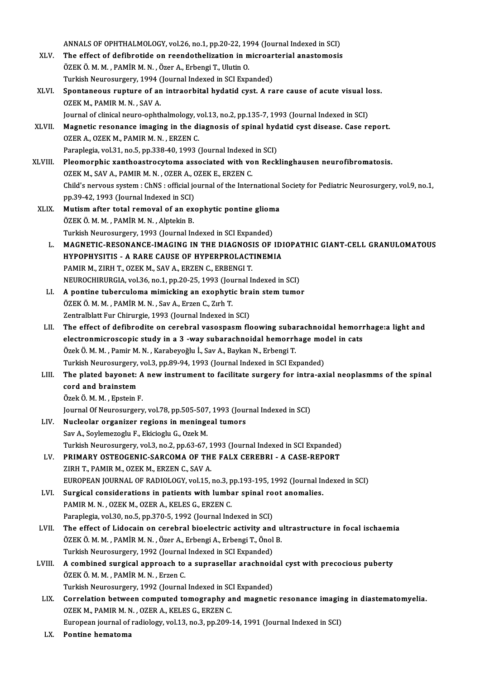|         | ANNALS OF OPHTHALMOLOGY, vol.26, no.1, pp.20-22, 1994 (Journal Indexed in SCI)                                                      |
|---------|-------------------------------------------------------------------------------------------------------------------------------------|
| XLV.    | The effect of defibrotide on reendothelization in microarterial anastomosis                                                         |
|         | ÖZEK Ö. M. M., PAMİR M. N., Özer A., Erbengi T., Ulutin O.                                                                          |
|         | Turkish Neurosurgery, 1994 (Journal Indexed in SCI Expanded)                                                                        |
| XLVI.   | Spontaneous rupture of an intraorbital hydatid cyst. A rare cause of acute visual loss.<br>OZEK M., PAMIR M. N., SAV A.             |
|         | Journal of clinical neuro-ophthalmology, vol.13, no.2, pp.135-7, 1993 (Journal Indexed in SCI)                                      |
| XLVII.  | Magnetic resonance imaging in the diagnosis of spinal hydatid cyst disease. Case report.<br>OZER A., OZEK M., PAMIR M. N., ERZEN C. |
|         | Paraplegia, vol.31, no.5, pp.338-40, 1993 (Journal Indexed in SCI)                                                                  |
| XLVIII. | Pleomorphic xanthoastrocytoma associated with von Recklinghausen neurofibromatosis.                                                 |
|         | OZEK M., SAV A., PAMIR M. N., OZER A., OZEK E., ERZEN C.                                                                            |
|         | Child's nervous system : ChNS : official journal of the International Society for Pediatric Neurosurgery, vol.9, no.1,              |
|         | pp.39-42, 1993 (Journal Indexed in SCI)                                                                                             |
| XLIX.   | Mutism after total removal of an exophytic pontine glioma                                                                           |
|         | ÖZEK ÖMM, PAMİRMN, Alptekin B.                                                                                                      |
|         | Turkish Neurosurgery, 1993 (Journal Indexed in SCI Expanded)                                                                        |
| L.      | MAGNETIC-RESONANCE-IMAGING IN THE DIAGNOSIS OF IDIOPATHIC GIANT-CELL GRANULOMATOUS                                                  |
|         | HYPOPHYSITIS - A RARE CAUSE OF HYPERPROLACTINEMIA                                                                                   |
|         | PAMIR M., ZIRH T., OZEK M., SAV A., ERZEN C., ERBENGI T.                                                                            |
|         | NEUROCHIRURGIA, vol.36, no.1, pp.20-25, 1993 (Journal Indexed in SCI)                                                               |
| LI.     | A pontine tuberculoma mimicking an exophytic brain stem tumor                                                                       |
|         | ÖZEK Ö. M. M., PAMİR M. N., Sav A., Erzen C., Zırh T.                                                                               |
|         | Zentralblatt Fur Chirurgie, 1993 (Journal Indexed in SCI)                                                                           |
| LII.    | The effect of defibrodite on cerebral vasospasm floowing subarachnoidal hemorrhage:a light and                                      |
|         | electronmicroscopic study in a 3 -way subarachnoidal hemorrhage model in cats                                                       |
|         | Özek Ö. M. M. , Pamir M. N. , Karabeyoğlu İ., Sav A., Baykan N., Erbengi T.                                                         |
|         | Turkish Neurosurgery, vol.3, pp.89-94, 1993 (Journal Indexed in SCI Expanded)                                                       |
| LIII.   | The plated bayonet: A new instrument to facilitate surgery for intra-axial neoplasmms of the spinal                                 |
|         | cord and brainstem                                                                                                                  |
|         | Özek Ö M M , Epstein F                                                                                                              |
|         | Journal Of Neurosurgery, vol.78, pp.505-507, 1993 (Journal Indexed in SCI)                                                          |
| LIV.    | Nucleolar organizer regions in meningeal tumors                                                                                     |
|         | Sav A., Soylemezoglu F., Ekicioglu G., Ozek M.                                                                                      |
|         | Turkish Neurosurgery, vol.3, no.2, pp.63-67, 1993 (Journal Indexed in SCI Expanded)                                                 |
| LV.     | PRIMARY OSTEOGENIC-SARCOMA OF THE FALX CEREBRI - A CASE-REPORT                                                                      |
|         | ZIRH T., PAMIR M., OZEK M., ERZEN C., SAV A.                                                                                        |
|         | EUROPEAN JOURNAL OF RADIOLOGY, vol.15, no.3, pp.193-195, 1992 (Journal Indexed in SCI)                                              |
| LVI.    | Surgical considerations in patients with lumbar spinal root anomalies.                                                              |
|         | PAMIR M. N., OZEK M., OZER A., KELES G., ERZEN C.                                                                                   |
|         | Paraplegia, vol.30, no.5, pp.370-5, 1992 (Journal Indexed in SCI)                                                                   |
| LVII.   | The effect of Lidocain on cerebral bioelectric activity and ultrastructure in focal ischaemia                                       |
|         | ÖZEK Ö. M. M., PAMİR M. N., Özer A., Erbengi A., Erbengi T., Önol B.                                                                |
|         | Turkish Neurosurgery, 1992 (Journal Indexed in SCI Expanded)                                                                        |
| LVIII.  | A combined surgical approach to a suprasellar arachnoidal cyst with precocious puberty                                              |
|         | ÖZEK Ö M M , PAMİR M N , Erzen C.                                                                                                   |
|         | Turkish Neurosurgery, 1992 (Journal Indexed in SCI Expanded)                                                                        |
| LIX.    | Correlation between computed tomography and magnetic resonance imaging in diastematomyelia.                                         |
|         | OZEK M., PAMIR M. N., OZER A., KELES G., ERZEN C.                                                                                   |
| TV.     | European journal of radiology, vol.13, no.3, pp.209-14, 1991 (Journal Indexed in SCI)<br>Dontino homotomo                           |

LX. Pontine hematoma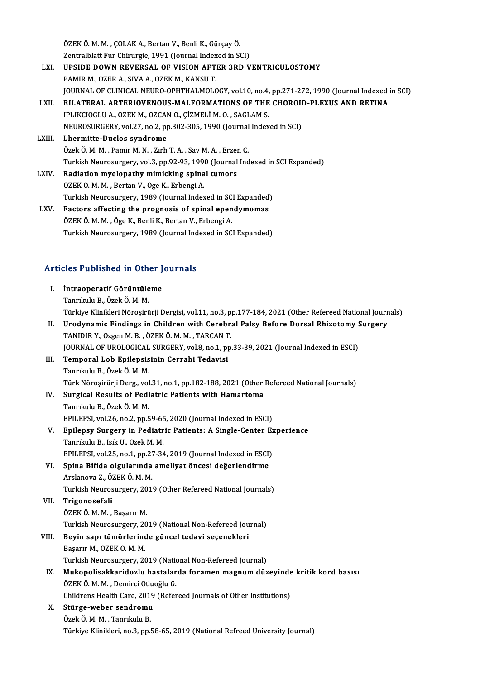ÖZEK Ö. M. M. , ÇOLAK A., Bertan V., Benli K., Gürçay Ö.<br>Zantralblatt Eur Chirurgia 1991 (Jaurnal Indavad in St ÖZEK Ö. M. M. , ÇOLAK A., Bertan V., Benli K., Gürçay Ö.<br>Zentralblatt Fur Chirurgie, 1991 (Journal Indexed in SCI)<br>URSIDE DOWN REVERSAL OF VISION AETER 3PD V

- ÖZEK Ö. M. M. , ÇOLAK A., Bertan V., Benli K., Gürçay Ö.<br>Zentralblatt Fur Chirurgie, 1991 (Journal Indexed in SCI)<br>LXI. UPSIDE DOWN REVERSAL OF VISION AFTER 3RD VENTRICULOSTOMY<br>RAMIR M. OZER A. SIVA A. OZEK M. KANSLLT. Zentralblatt Fur Chirurgie, 1991 (Journal Index<br>UPSIDE DOWN REVERSAL OF VISION AFT<br>PAMIR M., OZER A., SIVA A., OZEK M., KANSU T.<br>JOUPNAL OF CLINICAL NEUPO OPHTHALMOLO UPSIDE DOWN REVERSAL OF VISION AFTER 3RD VENTRICULOSTOMY<br>PAMIR M., OZER A., SIVA A., OZEK M., KANSU T.<br>JOURNAL OF CLINICAL NEURO-OPHTHALMOLOGY, vol.10, no.4, pp.271-272, 1990 (Journal Indexed in SCI)<br>PILATERAL ARTERIOVENOU PAMIR M., OZER A., SIVA A., OZEK M., KANSU T.<br>JOURNAL OF CLINICAL NEURO-OPHTHALMOLOGY, vol.10, no.4, pp.271-272, 1990 (Journal Indexed i<br>LXII. BILATERAL ARTERIOVENOUS-MALFORMATIONS OF THE CHOROID-PLEXUS AND RETINA JOURNAL OF CLINICAL NEURO-OPHTHALMOLOGY, vol.10, no.4,<br>BILATERAL ARTERIOVENOUS-MALFORMATIONS OF THE<br>IPLIKCIOGLU A., OZEK M., OZCAN O., ÇİZMELİ M. O. , SAGLAM S.<br>NEUPOSUPCEPY vol.27, no.2, nn.202,205, 1990 (Journal Indox LXII. BILATERAL ARTERIOVENOUS-MALFORMATIONS OF THE CHOROID-PLEXUS AND RETINA<br>IPLIKCIOGLU A., OZEK M., OZCAN O., ÇİZMELİ M. O. , SAGLAM S.<br>NEUROSURGERY, vol.27, no.2, pp.302-305, 1990 (Journal Indexed in SCI)<br>LXIII. Lhermit NEUROSURGERY, vol.27, no.2, pp.302-305, 1990 (Journal Indexed in SCI)
- IPLIKCIOGLU A., OZEK M., OZCAN O., ÇİZMELİ M. O. , SAGLAM S.<br>NEUROSURGERY, vol.27, no.2, pp.302-305, 1990 (Journal Index<br>LXIII. Lhermitte-Duclos syndrome<br>Özek Ö. M. M. , Pamir M. N. , Zırh T. A. , Sav M. A. , Erzen C. Turkish Neurosurgery, vol.3, pp.92-93, 1990 (Journal Indexed in SCI Expanded)
- LXIV. Radiation myelopathy mimicking spinal tumors ÖZEK Ö. M. M., Bertan V., Öge K., Erbengi A. Radiation myelopathy mimicking spinal tumors<br>ÖZEK Ö. M. M. , Bertan V., Öge K., Erbengi A.<br>Turkish Neurosurgery, 1989 (Journal Indexed in SCI Expanded)<br>Festers effecting the pregnesis of spinal ependumemes ÖZEK Ö. M. M. , Bertan V., Öge K., Erbengi A.<br>Turkish Neurosurgery, 1989 (Journal Indexed in SCI Expanded)<br>LXV. Factors affecting the prognosis of spinal ependymomas<br>ÖZEK Ö. M. M. ÖZQ K. Bonli K. Bortan V. Erbengi A.
- Turkish Neurosurgery, 1989 (Journal Indexed in SC<br>Factors affecting the prognosis of spinal epen<br>ÖZEK Ö. M. M. , Öge K., Benli K., Bertan V., Erbengi A.<br>Turkish Neurosurgery, 1989 (Journal Indexed in SC Factors affecting the prognosis of spinal ependymomas<br>ÖZEK Ö. M. M. , Öge K., Benli K., Bertan V., Erbengi A.<br>Turkish Neurosurgery, 1989 (Journal Indexed in SCI Expanded)

# Iurkish Neurosurgery, 1989 (Journal Ind<br>Articles Published in Other Journals

|       | <b>Articles Published in Other Journals</b>                                                               |  |  |
|-------|-----------------------------------------------------------------------------------------------------------|--|--|
| L     | İntraoperatif Görüntüleme                                                                                 |  |  |
|       | Tanrıkulu B., Özek Ö. M. M.                                                                               |  |  |
|       | Türkiye Klinikleri Nöroşirürji Dergisi, vol.11, no.3, pp.177-184, 2021 (Other Refereed National Journals) |  |  |
| П.    | Urodynamic Findings in Children with Cerebral Palsy Before Dorsal Rhizotomy Surgery                       |  |  |
|       | TANIDIR Y., Ozgen M. B., ÖZEK Ö. M. M., TARCAN T.                                                         |  |  |
|       | JOURNAL OF UROLOGICAL SURGERY, vol.8, no.1, pp.33-39, 2021 (Journal Indexed in ESCI)                      |  |  |
| Ш.    | Temporal Lob Epilepsisinin Cerrahi Tedavisi                                                               |  |  |
|       | Tanrıkulu B., Özek Ö. M. M.                                                                               |  |  |
|       | Türk Nöroşirürji Derg., vol.31, no.1, pp.182-188, 2021 (Other Refereed National Journals)                 |  |  |
| IV.   | Surgical Results of Pediatric Patients with Hamartoma                                                     |  |  |
|       | Tanrıkulu B., Özek Ö. M. M.                                                                               |  |  |
|       | EPILEPSI, vol.26, no.2, pp.59-65, 2020 (Journal Indexed in ESCI)                                          |  |  |
| V.    | Epilepsy Surgery in Pediatric Patients: A Single-Center Experience                                        |  |  |
|       | Tanrikulu B., Isik U., Ozek M. M.                                                                         |  |  |
|       | EPILEPSI, vol.25, no.1, pp.27-34, 2019 (Journal Indexed in ESCI)                                          |  |  |
| VI.   | Spina Bifida olgularında ameliyat öncesi değerlendirme                                                    |  |  |
|       | Arslanova Z., ÖZEK Ö. M. M.                                                                               |  |  |
|       | Turkish Neurosurgery, 2019 (Other Refereed National Journals)                                             |  |  |
| VII.  | Trigonosefali                                                                                             |  |  |
|       | ÖZEK Ö M M , Başarır M                                                                                    |  |  |
|       | Turkish Neurosurgery, 2019 (National Non-Refereed Journal)                                                |  |  |
| VIII. | Beyin sapı tümörlerinde güncel tedavi seçenekleri                                                         |  |  |
|       | Başarır M., ÖZEK Ö. M. M.                                                                                 |  |  |
|       | Turkish Neurosurgery, 2019 (National Non-Refereed Journal)                                                |  |  |
| IX.   | Mukopolisakkaridozlu hastalarda foramen magnum düzeyinde kritik kord basısı                               |  |  |
|       | ÖZEK Ö. M. M., Demirci Otluoğlu G.                                                                        |  |  |
|       | Childrens Health Care, 2019 (Refereed Journals of Other Institutions)                                     |  |  |
| X.    | Stürge-weber sendromu                                                                                     |  |  |
|       | Özek Ö. M. M., Tanrıkulu B.                                                                               |  |  |
|       | Türkiye Klinikleri, no.3, pp.58-65, 2019 (National Refreed University Journal)                            |  |  |
|       |                                                                                                           |  |  |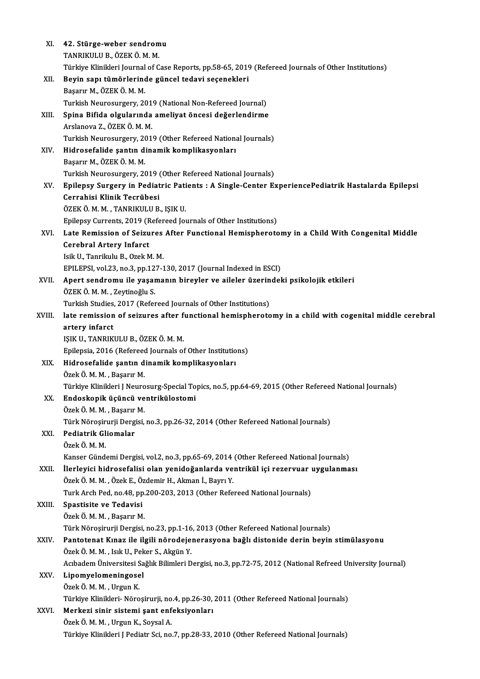| XI.    | 42. Stürge-weber sendromu                                                                                  |
|--------|------------------------------------------------------------------------------------------------------------|
|        | TANRIKULU B., ÖZEK Ö. M. M.                                                                                |
|        | Türkiye Klinikleri Journal of Case Reports, pp.58-65, 2019 (Refereed Journals of Other Institutions)       |
| XII.   | Beyin sapı tümörlerinde güncel tedavi seçenekleri                                                          |
|        | Başarır M., ÖZEK Ö. M. M.                                                                                  |
|        | Turkish Neurosurgery, 2019 (National Non-Refereed Journal)                                                 |
| XIII.  | Spina Bifida olgularında ameliyat öncesi değerlendirme                                                     |
|        | Arslanova Z., ÖZEK Ö. M. M.                                                                                |
|        | Turkish Neurosurgery, 2019 (Other Refereed National Journals)                                              |
| XIV.   | Hidrosefalide şantın dinamik komplikasyonları                                                              |
|        | Başarır M., ÖZEK Ö. M. M.                                                                                  |
|        | Turkish Neurosurgery, 2019 (Other Refereed National Journals)                                              |
| XV.    | Epilepsy Surgery in Pediatric Patients : A Single-Center ExperiencePediatrik Hastalarda Epilepsi           |
|        | Cerrahisi Klinik Tecrübesi                                                                                 |
|        | ÖZEK Ö M M , TANRIKULU B , IŞIK U                                                                          |
|        | Epilepsy Currents, 2019 (Refereed Journals of Other Institutions)                                          |
| XVI.   | Late Remission of Seizures After Functional Hemispherotomy in a Child With Congenital Middle               |
|        | <b>Cerebral Artery Infarct</b>                                                                             |
|        | Isik U., Tanrikulu B., Ozek M. M.                                                                          |
|        | EPILEPSI, vol.23, no.3, pp.127-130, 2017 (Journal Indexed in ESCI)                                         |
| XVII.  | Apert sendromu ile yaşamanın bireyler ve aileler üzerindeki psikolojik etkileri                            |
|        | ÖZEK Ö. M. M., Zeytinoğlu S.                                                                               |
|        | Turkish Studies, 2017 (Refereed Journals of Other Institutions)                                            |
| XVIII. | late remission of seizures after functional hemispherotomy in a child with cogenital middle cerebral       |
|        | artery infarct                                                                                             |
|        | IŞIK U., TANRIKULU B., ÖZEK Ö. M. M.                                                                       |
|        | Epilepsia, 2016 (Refereed Journals of Other Institutions)                                                  |
| XIX.   | Hidrosefalide şantın dinamik komplikasyonları                                                              |
|        | Özek Ö. M. M. , Başarır M.                                                                                 |
|        | Türkiye Klinikleri J Neurosurg-Special Topics, no.5, pp.64-69, 2015 (Other Refereed National Journals)     |
| XX.    | Endoskopik üçüncü ventrikülostomi                                                                          |
|        | Özek Ö. M. M., Başarır M.                                                                                  |
|        | Türk Nöroşirurji Dergisi, no.3, pp.26-32, 2014 (Other Refereed National Journals)                          |
| XXI.   | Pediatrik Gliomalar                                                                                        |
|        | Özek Ö. M. M.                                                                                              |
|        | Kanser Gündemi Dergisi, vol.2, no.3, pp.65-69, 2014 (Other Refereed National Journals)                     |
| XXII.  | İlerleyici hidrosefalisi olan yenidoğanlarda ventrikül içi rezervuar uygulanması                           |
|        | Özek Ö. M. M., Özek E., Özdemir H., Akman İ., Bayrı Y.                                                     |
|        | Turk Arch Ped, no.48, pp.200-203, 2013 (Other Refereed National Journals)                                  |
| XXIII. | Spastisite ve Tedavisi                                                                                     |
|        | Özek Ö. M. M., Başarır M.                                                                                  |
|        | Türk Nöroşirurji Dergisi, no.23, pp.1-16, 2013 (Other Refereed National Journals)                          |
| XXIV   | Pantotenat Kınaz ile ilgili nörodejenerasyona bağlı distonide derin beyin stimülasyonu                     |
|        | Özek Ö. M. M., Isık U., Peker S., Akgün Y.                                                                 |
|        | Acıbadem Üniversitesi Sağlık Bilimleri Dergisi, no.3, pp.72-75, 2012 (National Refreed University Journal) |
| XXV.   | Lipomyelomeningosel                                                                                        |
|        | Özek Ö. M. M., Urgun K.                                                                                    |
|        | Türkiye Klinikleri- Nöroşirurji, no.4, pp.26-30, 2011 (Other Refereed National Journals)                   |
| XXVI.  | Merkezi sinir sistemi şant enfeksiyonları                                                                  |
|        | Özek Ö. M. M., Urgun K., Soysal A.                                                                         |
|        | Türkiye Klinikleri J Pediatr Sci, no.7, pp.28-33, 2010 (Other Refereed National Journals)                  |
|        |                                                                                                            |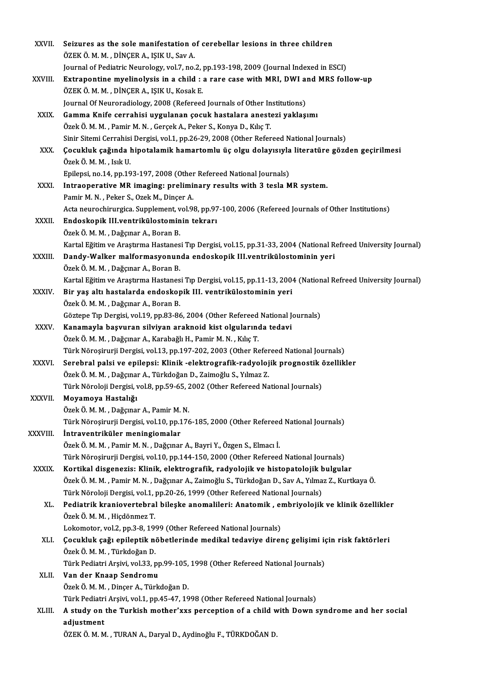| XXVII.       | Seizures as the sole manifestation of cerebellar lesions in three children                                              |
|--------------|-------------------------------------------------------------------------------------------------------------------------|
|              | ÖZEK Ö. M. M., DİNÇER A., IŞIK U., Sav A.                                                                               |
|              | Journal of Pediatric Neurology, vol.7, no.2, pp.193-198, 2009 (Journal Indexed in ESCI)                                 |
| XXVIII.      | Extrapontine myelinolysis in a child : a rare case with MRI, DWI and MRS follow-up                                      |
|              | ÖZEK Ö. M. M., DİNÇER A., IŞIK U., Kosak E.                                                                             |
|              | Journal Of Neuroradiology, 2008 (Refereed Journals of Other Institutions)                                               |
| XXIX.        | Gamma Knife cerrahisi uygulanan çocuk hastalara anestezi yaklaşımı                                                      |
|              | Özek Ö. M. M., Pamir M. N., Gerçek A., Peker S., Konya D., Kılıç T.                                                     |
|              | Sinir Sitemi Cerrahisi Dergisi, vol.1, pp.26-29, 2008 (Other Refereed National Journals)                                |
| XXX.         | Çocukluk çağında hipotalamik hamartomlu üç olgu dolayısıyla literatüre gözden geçirilmesi                               |
|              | Özek Ö M M , Isık U                                                                                                     |
|              | Epilepsi, no.14, pp.193-197, 2008 (Other Refereed National Journals)                                                    |
| XXXI.        | Intraoperative MR imaging: preliminary results with 3 tesla MR system.                                                  |
|              | Pamir M. N., Peker S., Ozek M., Dinçer A.                                                                               |
|              | Acta neurochirurgica. Supplement, vol.98, pp.97-100, 2006 (Refereed Journals of Other Institutions)                     |
| XXXII.       | Endoskopik III.ventrikülostominin tekrarı                                                                               |
|              | Özek Ö. M. M., Dağçınar A., Boran B.                                                                                    |
|              | Kartal Eğitim ve Araştırma Hastanesi Tıp Dergisi, vol.15, pp.31-33, 2004 (National Refreed University Journal)          |
| XXXIII.      | Dandy-Walker malformasyonunda endoskopik III.ventrikülostominin yeri                                                    |
|              | Özek Ö. M. M., Dağçınar A., Boran B.                                                                                    |
|              | Kartal Eğitim ve Araştırma Hastanesi Tıp Dergisi, vol.15, pp.11-13, 2004 (National Refreed University Journal)          |
| XXXIV.       | Bir yaş altı hastalarda endoskopik III. ventrikülostominin yeri                                                         |
|              | Özek Ö. M. M., Dağçınar A., Boran B.                                                                                    |
|              | Göztepe Tıp Dergisi, vol.19, pp.83-86, 2004 (Other Refereed National Journals)                                          |
| <b>XXXV</b>  | Kanamayla başvuran silviyan araknoid kist olgularında tedavi                                                            |
|              | Özek Ö. M. M., Dağçınar A., Karabağlı H., Pamir M. N., Kılıç T.                                                         |
|              | Türk Nöroşirurji Dergisi, vol.13, pp.197-202, 2003 (Other Refereed National Journals)                                   |
| <b>XXXVI</b> | Serebral palsi ve epilepsi: Klinik -elektrografik-radyolojik prognostik özellikler                                      |
|              | Özek Ö. M. M. , Dağçınar A., Türkdoğan D., Zaimoğlu S., Yılmaz Z.                                                       |
|              | Türk Nöroloji Dergisi, vol.8, pp.59-65, 2002 (Other Refereed National Journals)                                         |
| XXXVII.      | Moyamoya Hastalığı                                                                                                      |
|              | Özek Ö. M. M., Dağçınar A., Pamir M. N.                                                                                 |
|              | Türk Nöroşirurji Dergisi, vol.10, pp.176-185, 2000 (Other Refereed National Journals)                                   |
| XXXVIII.     | Intraventriküler meningiomalar                                                                                          |
|              | Özek Ö. M. M. , Pamir M. N. , Dağçınar A., Bayri Y., Özgen S., Elmacı İ.                                                |
|              | Türk Nöroşirurji Dergisi, vol.10, pp.144-150, 2000 (Other Refereed National Journals)                                   |
| <b>XXXIX</b> | Kortikal disgenezis: Klinik, elektrografik, radyolojik ve histopatolojik bulgular                                       |
|              | Özek Ö. M. M. , Pamir M. N. , Dağçınar A., Zaimoğlu S., Türkdoğan D., Sav A., Yılmaz Z., Kurtkaya Ö.                    |
|              | Türk Nöroloji Dergisi, vol.1, pp.20-26, 1999 (Other Refereed National Journals)                                         |
| XL.          | Pediatrik kraniovertebral bileşke anomalileri: Anatomik, embriyolojik ve klinik özellikler<br>Özek Ö M M , Hiçdönmez T. |
|              | Lokomotor, vol.2, pp.3-8, 1999 (Other Refereed National Journals)                                                       |
| XLI.         | Çocukluk çağı epileptik nöbetlerinde medikal tedaviye direnç gelişimi için risk faktörleri                              |
|              | Özek Ö. M. M., Türkdoğan D.                                                                                             |
|              | Türk Pediatri Arşivi, vol.33, pp.99-105, 1998 (Other Refereed National Journals)                                        |
| XLII.        | Van der Knaap Sendromu                                                                                                  |
|              | Özek Ö. M. M., Dinçer A., Türkdoğan D.                                                                                  |
|              | Türk Pediatri Arşivi, vol.1, pp.45-47, 1998 (Other Refereed National Journals)                                          |
| XLIII.       | A study on the Turkish mother'xxs perception of a child with Down syndrome and her social                               |
|              | adjustment                                                                                                              |
|              | ÖZEK Ö. M. M. , TURAN A., Daryal D., Aydinoğlu F., TÜRKDOĞAN D.                                                         |
|              |                                                                                                                         |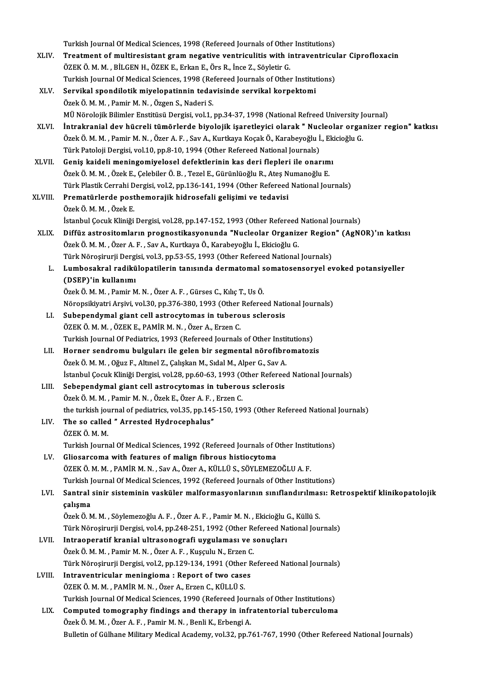Turkish Journal Of Medical Sciences, 1998 (Refereed Journals of Other Institutions)<br>Treatment of multiposistant snam nosative ventriculitie with intraventricul

|         | Turkish Journal Of Medical Sciences, 1998 (Refereed Journals of Other Institutions)                       |
|---------|-----------------------------------------------------------------------------------------------------------|
| XLIV.   | Treatment of multiresistant gram negative ventriculitis with intraventricular Ciprofloxacin               |
|         | ÖZEK Ö. M. M., BİLGEN H., ÖZEK E., Erkan E., Örs R., İnce Z., Söyletir G.                                 |
|         | Turkish Journal Of Medical Sciences, 1998 (Refereed Journals of Other Institutions)                       |
| XLV.    | Servikal spondilotik miyelopatinnin tedavisinde servikal korpektomi                                       |
|         | Özek Ö. M. M., Pamir M. N., Özgen S., Naderi S.                                                           |
|         | MÜ Nörolojik Bilimler Enstitüsü Dergisi, vol.1, pp.34-37, 1998 (National Refreed University Journal)      |
| XLVI.   | İntrakranial dev hücreli tümörlerde biyolojik işaretleyici olarak " Nucleolar organizer region" katkısı   |
|         | Özek Ö. M. M., Pamir M. N., Özer A. F., Sav A., Kurtkaya Koçak Ö., Karabeyoğlu İ., Ekicioğlu G.           |
|         | Türk Patoloji Dergisi, vol.10, pp.8-10, 1994 (Other Refereed National Journals)                           |
| XLVII.  | Geniş kaideli meningomiyelosel defektlerinin kas deri flepleri ile onarımı                                |
|         | Özek Ö. M. M. , Özek E., Çelebiler Ö. B. , Tezel E., Gürünlüoğlu R., Ateş Numanoğlu E.                    |
|         | Türk Plastik Cerrahi Dergisi, vol.2, pp.136-141, 1994 (Other Refereed National Journals)                  |
| XLVIII. | Prematürlerde posthemorajik hidrosefali gelişimi ve tedavisi                                              |
|         | Özek Ö. M. M., Özek E.                                                                                    |
|         | İstanbul Çocuk Kliniği Dergisi, vol.28, pp.147-152, 1993 (Other Refereed National Journals)               |
| XLIX.   | Diffüz astrositomların prognostikasyonunda "Nucleolar Organizer Region" (AgNOR)'ın katkısı                |
|         | Özek Ö. M. M. , Özer A. F. , Sav A., Kurtkaya Ö., Karabeyoğlu İ., Ekicioğlu G.                            |
|         | Türk Nöroşirurji Dergisi, vol.3, pp.53-55, 1993 (Other Refereed National Journals)                        |
| L.      | Lumbosakral radikülopatilerin tanısında dermatomal somatosensoryel evoked potansiyeller                   |
|         | (DSEP)'in kullanımı                                                                                       |
|         | Özek Ö. M. M., Pamir M. N., Özer A. F., Gürses C., Kılıç T., Us Ö.                                        |
|         | Nöropsikiyatri Arşivi, vol.30, pp.376-380, 1993 (Other Refereed National Journals)                        |
| LI.     | Subependymal giant cell astrocytomas in tuberous sclerosis                                                |
|         | ÖZEK Ö. M. M., ÖZEK E., PAMİR M. N., Özer A., Erzen C.                                                    |
|         | Turkish Journal Of Pediatrics, 1993 (Refereed Journals of Other Institutions)                             |
| LII.    | Horner sendromu bulguları ile gelen bir segmental nörofibromatozis                                        |
|         | Özek Ö. M. M., Oğuz F., Altınel Z., Çalışkan M., Sıdal M., Alper G., Sav A.                               |
|         | İstanbul Çocuk Kliniği Dergisi, vol.28, pp.60-63, 1993 (Other Refereed National Journals)                 |
| LIII.   | Sebependymal giant cell astrocytomas in tuberous sclerosis                                                |
|         | Özek Ö. M. M., Pamir M. N., Özek E., Özer A. F., Erzen C.                                                 |
|         | the turkish journal of pediatrics, vol.35, pp.145-150, 1993 (Other Refereed National Journals)            |
| LIV.    | The so called " Arrested Hydrocephalus"                                                                   |
|         | ÖZEK Ö. M. M.                                                                                             |
|         | Turkish Journal Of Medical Sciences, 1992 (Refereed Journals of Other Institutions)                       |
| LV.     | Gliosarcoma with features of malign fibrous histiocytoma                                                  |
|         | ÖZEK Ö. M. M., PAMİR M. N., Sav A., Özer A., KÜLLÜ S., SÖYLEMEZOĞLU A. F.                                 |
|         | Turkish Journal Of Medical Sciences, 1992 (Refereed Journals of Other Institutions)                       |
| LVI.    | Santral sinir sisteminin vasküler malformasyonlarının sınıflandırılması: Retrospektif klinikopatolojik    |
|         | çalışma                                                                                                   |
|         | Özek Ö. M. M. , Söylemezoğlu A. F. , Özer A. F. , Pamir M. N. , Ekicioğlu G., Küllü S.                    |
|         | Türk Nöroşirurji Dergisi, vol.4, pp.248-251, 1992 (Other Refereed National Journals)                      |
| LVII.   | Intraoperatif kranial ultrasonografi uygulaması ve sonuçları                                              |
|         | Özek Ö. M. M., Pamir M. N., Özer A. F., Kuşçulu N., Erzen C.                                              |
|         | Türk Nöroşirurji Dergisi, vol.2, pp.129-134, 1991 (Other Refereed National Journals)                      |
| LVIII.  | Intraventricular meningioma : Report of two cases                                                         |
|         | ÖZEK Ö. M. M., PAMİR M. N., Özer A., Erzen C., KÜLLÜ S.                                                   |
|         | Turkish Journal Of Medical Sciences, 1990 (Refereed Journals of Other Institutions)                       |
| LIX.    | Computed tomography findings and therapy in infratentorial tuberculoma                                    |
|         | Özek Ö. M. M., Özer A. F., Pamir M. N., Benli K., Erbengi A.                                              |
|         | Bulletin of Gülhane Military Medical Academy, vol.32, pp.761-767, 1990 (Other Refereed National Journals) |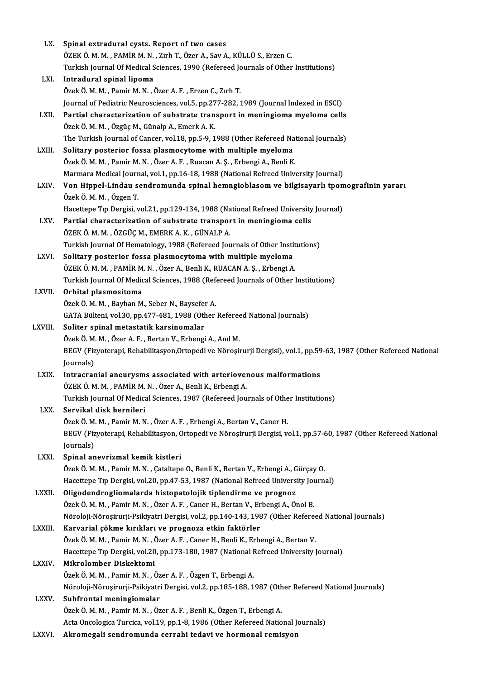| LX.          | Spinal extradural cysts. Report of two cases                                                                                     |
|--------------|----------------------------------------------------------------------------------------------------------------------------------|
|              | ÖZEK Ö. M. M., PAMİR M. N., Zırh T., Özer A., Sav A., KÜLLÜ S., Erzen C.                                                         |
|              | Turkish Journal Of Medical Sciences, 1990 (Refereed Journals of Other Institutions)                                              |
| LXI.         | Intradural spinal lipoma                                                                                                         |
|              | Özek Ö. M. M., Pamir M. N., Özer A. F., Erzen C., Zırh T.                                                                        |
|              | Journal of Pediatric Neurosciences, vol.5, pp.277-282, 1989 (Journal Indexed in ESCI)                                            |
| LXII.        | Partial characterization of substrate transport in meningioma myeloma cells                                                      |
|              | Özek Ö. M. M., Özgüç M., Günalp A., Emerk A. K.                                                                                  |
|              | The Turkish Journal of Cancer, vol.18, pp.5-9, 1988 (Other Refereed National Journals)                                           |
|              |                                                                                                                                  |
| LXIII.       | Solitary posterior fossa plasmocytome with multiple myeloma                                                                      |
|              | Özek Ö. M. M., Pamir M. N., Özer A. F., Ruacan A. Ş., Erbengi A., Benli K.                                                       |
|              | Marmara Medical Journal, vol.1, pp.16-18, 1988 (National Refreed University Journal)                                             |
| LXIV.        | Von Hippel-Lindau sendromunda spinal hemngioblasom ve bilgisayarlı tpomografinin yararı<br>Özek Ö M M , Özgen T.                 |
|              | Hacettepe Tıp Dergisi, vol.21, pp.129-134, 1988 (National Refreed University Journal)                                            |
| LXV.         | Partial characterization of substrate transport in meningioma cells                                                              |
|              | ÖZEK Ö. M. M., ÖZGÜÇ M., EMERK A. K., GÜNALP A.                                                                                  |
|              | Turkish Journal Of Hematology, 1988 (Refereed Journals of Other Institutions)                                                    |
| LXVI.        | Solitary posterior fossa plasmocytoma with multiple myeloma                                                                      |
|              | ÖZEK Ö. M. M., PAMİR M. N., Özer A., Benli K., RUACAN A. Ş., Erbengi A.                                                          |
|              | Turkish Journal Of Medical Sciences, 1988 (Refereed Journals of Other Institutions)                                              |
| LXVII.       | Orbital plasmositoma                                                                                                             |
|              | Özek Ö. M. M., Bayhan M., Seber N., Baysefer A.                                                                                  |
|              | GATA Bülteni, vol.30, pp.477-481, 1988 (Other Refereed National Journals)                                                        |
| LXVIII.      | Soliter spinal metastatik karsinomalar                                                                                           |
|              | Özek Ö. M. M., Özer A. F., Bertan V., Erbengi A., Anıl M.                                                                        |
|              | BEGV (Fizyoterapi, Rehabilitasyon, Ortopedi ve Nöroşirurji Dergisi), vol.1, pp.59-63, 1987 (Other Refereed National<br>Journals) |
| <b>LXIX</b>  | Intracranial aneurysms associated with arteriovenous malformations                                                               |
|              | ÖZEK Ö. M. M., PAMİR M. N., Özer A., Benli K., Erbengi A.                                                                        |
|              | Turkish Journal Of Medical Sciences, 1987 (Refereed Journals of Other Institutions)                                              |
| LXX.         | Servikal disk hernileri                                                                                                          |
|              | Özek Ö. M. M., Pamir M. N., Özer A. F., Erbengi A., Bertan V., Caner H.                                                          |
|              | BEGV (Fizyoterapi, Rehabilitasyon, Ortopedi ve Nöroşirurji Dergisi, vol.1, pp.57-60, 1987 (Other Refereed National               |
|              | Journals)                                                                                                                        |
| LXXI.        | Spinal anevrizmal kemik kistleri                                                                                                 |
|              | Özek Ö. M. M. , Pamir M. N. , Çataltepe O., Benli K., Bertan V., Erbengi A., Gürçay O.                                           |
|              | Hacettepe Tıp Dergisi, vol.20, pp.47-53, 1987 (National Refreed University Journal)                                              |
| LXXII.       | Oligodendrogliomalarda histopatolojik tiplendirme ve prognoz                                                                     |
|              | Özek Ö. M. M., Pamir M. N., Özer A. F., Caner H., Bertan V., Erbengi A., Önol B.                                                 |
|              | Nöroloji-Nöroşirurji-Psikiyatri Dergisi, vol.2, pp.140-143, 1987 (Other Refereed National Journals)                              |
| LXXIII.      | Karvarial çökme kırıkları ve prognoza etkin faktörler                                                                            |
|              | Özek Ö. M. M., Pamir M. N., Özer A. F., Caner H., Benli K., Erbengi A., Bertan V.                                                |
|              | Hacettepe Tip Dergisi, vol.20, pp.173-180, 1987 (National Refreed University Journal)                                            |
| <b>LXXIV</b> | Mikrolomber Diskektomi                                                                                                           |
|              | Özek Ö. M. M., Pamir M. N., Özer A. F., Özgen T., Erbengi A.                                                                     |
|              | Nöroloji-Nöroşirurji-Psikiyatri Dergisi, vol.2, pp.185-188, 1987 (Other Refereed National Journals)                              |
| LXXV.        | Subfrontal meningiomalar                                                                                                         |
|              | Özek Ö. M. M., Pamir M. N., Özer A. F., Benli K., Özgen T., Erbengi A.                                                           |
|              | Acta Oncologica Turcica, vol.19, pp.1-8, 1986 (Other Refereed National Journals)                                                 |
| LXXVI.       | Akromegali sendromunda cerrahi tedavi ve hormonal remisyon                                                                       |
|              |                                                                                                                                  |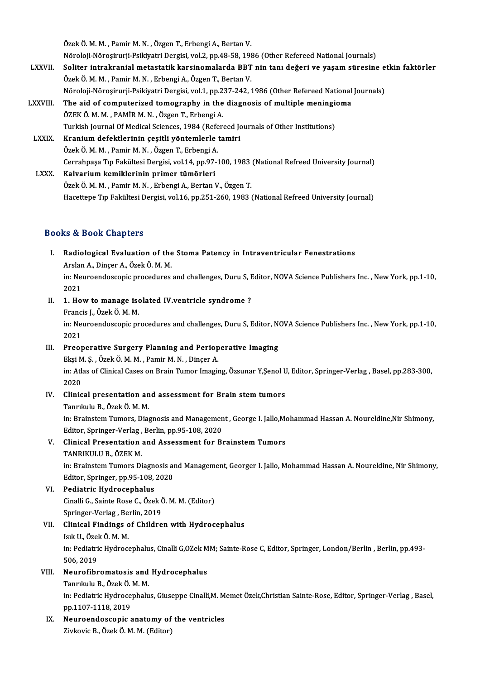Özek Ö. M. M., Pamir M. N., Özgen T., Erbengi A., Bertan V.

Özek Ö. M. M. , Pamir M. N. , Özgen T., Erbengi A., Bertan V.<br>Nöroloji-Nöroşirurji-Psikiyatri Dergisi, vol.2, pp.48-58, 1986 (Other Refereed National Journals)<br>Seliter intrakranial metastatik kersinemalarda BBT nin tenı de

- Özek Ö. M. M. , Pamir M. N. , Özgen T., Erbengi A., Bertan V.<br>Nöroloji-Nöroşirurji-Psikiyatri Dergisi, vol.2, pp.48-58, 1986 (Other Refereed National Journals)<br>LXXVII. Soliter intrakranial metastatik karsinomalarda BBT nin Nöroloji-Nöroşirurji-Psikiyatri Dergisi, vol.2, pp.48-58, 198<br>Soliter intrakranial metastatik karsinomalarda BBT<br>Özek Ö. M. M. , Pamir M. N. , Erbengi A., Özgen T., Bertan V.<br>Näroloji Närosinunji Psikiyotri Dergisi vol.1, Soliter intrakranial metastatik karsinomalarda BBT nin tanı değeri ve yaşam süresine e<br>Özek Ö. M. M. , Pamir M. N. , Erbengi A., Özgen T., Bertan V.<br>Nöroloji-Nöroşirurji-Psikiyatri Dergisi, vol.1, pp.237-242, 1986 (Other R Özek Ö. M. M. , Pamir M. N. , Erbengi A., Özgen T., Bertan V.<br>Nöroloji-Nöroşirurji-Psikiyatri Dergisi, vol.1, pp.237-242, 1986 (Other Refereed National Journals)<br>LXXVIII. The aid of computerized tomography in the diagn
- Nöroloji-Nöroşirurji-Psikiyatri Dergisi, vol.1, pp.2<br>The aid of computerized tomography in the<br>ÖZEK Ö. M. M. , PAMİR M. N. , Özgen T., Erbengi A.<br>Turkish Journal Of Modical Sciences, 1984 (Pefer The aid of computerized tomography in the diagnosis of multiple meningioma<br>ÖZEK Ö. M. M. , PAMİR M. N. , Özgen T., Erbengi A.<br>Turkish Journal Of Medical Sciences, 1984 (Refereed Journals of Other Institutions)<br>Kranium defe ÖZEK Ö. M. M. , PAMİR M. N. , Özgen T., Erbengi A.<br>Turkish Journal Of Medical Sciences, 1984 (Refereed Journal of Medical Sciences, 1984 (Refereed Journal A. Özek Ö. M. M., Pamir M. N., Özgen T., Erbengi A. Kranium defektlerinin çeşitli yöntemlerle tamiri<br>Özek Ö. M. M. , Pamir M. N. , Özgen T., Erbengi A.<br>Cerrahpaşa Tıp Fakültesi Dergisi, vol.14, pp.97-100, 1983 (National Refreed University Journal)<br>Kalvarium komiklerinin pri

LXXX. Kalvarium kemiklerinin primer tümörleri<br>Özek Ö. M. M., Pamir M. N., Erbengi A., Bertan V., Özgen T. Cerrahpaşa Tıp Fakültesi Dergisi, vol.14, pp.97-100, 1983<br>**Kalvarium kemiklerinin primer tümörleri**<br>Özek Ö. M. M. , Pamir M. N. , Erbengi A., Bertan V., Özgen T.<br>Hasettana Tın Fakültesi Dergisi vol.16, np.25,1,260, 1982 Hacettepe Tıp Fakültesi Dergisi, vol.16, pp.251-260, 1983 (National Refreed University Journal)

# Books&Book Chapters

- I. Radiological Evaluation of the Stoma Patency in Intraventricular Fenestrations 1988 1999 - Shup 1999<br>Radiological Evaluation of the<br>Arslan A., Dinçer A., Özek Ö. M. M.<br>in: Nouroondossonis prosedures in: Neuroendoscopic procedures and challenges, Duru S, Editor, NOVA Science Publishers Inc. , New York, pp.1-10,<br>2021 Arslar<br>in: Net<br>2021<br>1 He in: Neuroendoscopic procedures and challenges, Duru S, I<br>2021<br>II. 1. How to manage isolated IV.ventricle syndrome ?<br>Francis L Özek Ö M M
- 2021<br>**1. How to manage iso<br>Francis J., Özek Ö. M. M.**<br>in: Nauroandessenis nn 1. How to manage isolated IV.ventricle syndrome ?<br>Francis J., Özek Ö. M. M.<br>in: Neuroendoscopic procedures and challenges, Duru S, Editor, NOVA Science Publishers Inc. , New York, pp.1-10,<br>2021 Franci<br>in: Net<br>2021<br>Preez

in: Neuroendoscopic procedures and challenges, Duru S, Editor, No.<br>2021<br>III. Preoperative Surgery Planning and Perioperative Imaging<br>Elisi M. S., Özek Ö. M. M. Pamir M. N., Dincar A.

# 2021<br>Preoperative Surgery Planning and Periop<br>Ekşi M. Ş. , Özek Ö. M. M. , Pamir M. N. , Dinçer A.<br>in: Atles of Clinicel Cases on Prein Tumor Imegir Preoperative Surgery Planning and Perioperative Imaging<br>Ekşi M. Ş. , Özek Ö. M. M. , Pamir M. N. , Dinçer A.<br>in: Atlas of Clinical Cases on Brain Tumor Imaging, Özsunar Y,Şenol U, Editor, Springer-Verlag , Basel, pp.283-30 Ekşi M<br>in: Atl<br>2020<br>Clinia in: Atlas of Clinical Cases on Brain Tumor Imaging, Özsunar Y, Şenol U<br>2020<br>IV. Clinical presentation and assessment for Brain stem tumors<br>Tenrikulu B. Özek Ö. M. M.

- 2020<br>Clinical presentation an<br>Tanrıkulu B., Özek Ö. M. M.<br>in: Prainstom Tumors, Dias Clinical presentation and assessment for Brain stem tumors<br>Tanrıkulu B., Özek Ö. M. M.<br>in: Brainstem Tumors, Diagnosis and Management , George I. Jallo,Mohammad Hassan A. Noureldine,Nir Shimony,<br>Editer Springer Verleg, Ber Tanrıkulu B., Özek Ö. M. M.<br>in: Brainstem Tumors, Diagnosis and Managemen<br>Editor, Springer-Verlag , Berlin, pp.95-108, 2020<br>Clinisal Presentation and Assessment for B.
- in: Brainstem Tumors, Diagnosis and Management , George I. Jallo, Monteditor, Springer-Verlag, Berlin, pp.95-108, 2020<br>V. Clinical Presentation and Assessment for Brainstem Tumors<br>TANDIVIII U.B. ÖZEV M Editor, Springer-Verlag ,<br>Clinical Presentation<br>TANRIKULU B., ÖZEK M.<br>in: Prainstom Tumors Di

Clinical Presentation and Assessment for Brainstem Tumors<br>TANRIKULU B., ÖZEK M.<br>in: Brainstem Tumors Diagnosis and Management, Georger I. Jallo, Mohammad Hassan A. Noureldine, Nir Shimony,<br>Editor, Springer, pp.95, 109, 202 TANRIKULU B., ÖZEK M.<br>in: Brainstem Tumors Diagnosis al<br>Editor, Springer, pp.95-108, 2020<br>Podiatric Hydrosopholus

- Editor, Springer, pp.95-108, 2020<br>VI. Pediatric Hydrocephalus Editor, Springer, pp.95-108, 2020<br>Pediatric Hydrocephalus<br>Cinalli G., Sainte Rose C., Özek Ö. M. M. (Editor)<br>Springer Verlag, Berlin, 2019 Pediatric Hydrocephalus<br>Cinalli G., Sainte Rose C., Özek (<br>Springer-Verlag , Berlin, 2019<br>Clinisal Eindings of Childre Springer-Verlag, Berlin, 2019
- VII. Clinical Findings of Children with Hydrocephalus<br>Isık U., Özek Ö. M. M. Clinical Findings of Children with Hydrocephalus<br>Isık U., Özek Ö. M. M.<br>in: Pediatric Hydrocephalus, Cinalli G,OZek MM; Sainte-Rose C, Editor, Springer, London/Berlin , Berlin, pp.493-<br>506-2019 Isık U., Özel<br>in: Pediatri<br>506, 2019<br>Neurofibr in: Pediatric Hydrocephalus, Cinalli G,OZek M<br>506, 2019<br>VIII. Neurofibromatosis and Hydrocephalus<br>Tanululu B, Özek Ö, M, M
- 506, 2019<br>Neurofibromatosis and<br>Tanrıkulu B., Özek Ö. M. M.<br>in: Pediatris Hydrosephelu

Neurofibromatosis and Hydrocephalus<br>Tanrıkulu B., Özek Ö. M. M.<br>in: Pediatric Hydrocephalus, Giuseppe Cinalli,M. Memet Özek,Christian Sainte-Rose, Editor, Springer-Verlag , Basel,<br>pp.1107-1118-2019 Tanrıkulu B., Özek Ö.<br>in: Pediatric Hydroce<br>pp.1107-1118, 2019<br>Neunoondossenis in: Pediatric Hydrocephalus, Giuseppe Cinalli,M. M<br>pp.1107-1118, 2019<br>IX. Neuroendoscopic anatomy of the ventricles<br>7ivleavie B. Özek Ö. M. M. (Editor)

pp.1107-1118, 2019<br>IX. Neuroendoscopic anatomy of the ventricles<br>Zivkovic B., Özek Ö. M. M. (Editor)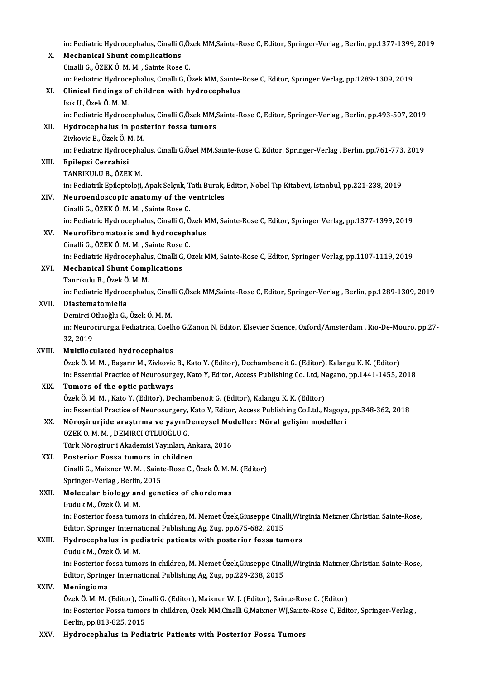in: Pediatric Hydrocephalus, Cinalli G,Özek MM,Sainte-Rose C, Editor, Springer-Verlag , Berlin, pp.1377-1399, 2019<br>Meshanisel Shunt semplisations

|        | in: Pediatric Hydrocephalus, Cinalli G,Özek MM,Sainte-Rose C, Editor, Springer-Verlag, Berlin, pp.1377-1399, 2019 |
|--------|-------------------------------------------------------------------------------------------------------------------|
| Х.     | <b>Mechanical Shunt complications</b>                                                                             |
|        | Cinalli G., ÖZEK Ö. M. M., Sainte Rose C.                                                                         |
|        | in: Pediatric Hydrocephalus, Cinalli G, Özek MM, Sainte-Rose C, Editor, Springer Verlag, pp.1289-1309, 2019       |
| XI.    | Clinical findings of children with hydrocephalus                                                                  |
|        | Isık U., Özek Ö. M. M.                                                                                            |
|        | in: Pediatric Hydrocephalus, Cinalli G, Özek MM, Sainte-Rose C, Editor, Springer-Verlag, Berlin, pp.493-507, 2019 |
| XII.   | Hydrocephalus in posterior fossa tumors                                                                           |
|        | Zivkovic B., Özek Ö. M. M.                                                                                        |
|        | in: Pediatric Hydrocephalus, Cinalli G, Özel MM, Sainte-Rose C, Editor, Springer-Verlag, Berlin, pp.761-773, 2019 |
| XIII.  | Epilepsi Cerrahisi                                                                                                |
|        | TANRIKULU B., ÖZEK M.                                                                                             |
|        | in: Pediatrik Epileptoloji, Apak Selçuk, Tatlı Burak, Editor, Nobel Tıp Kitabevi, İstanbul, pp.221-238, 2019      |
| XIV.   | Neuroendoscopic anatomy of the ventricles                                                                         |
|        | Cinalli G., ÖZEK Ö. M. M., Sainte Rose C.                                                                         |
|        | in: Pediatric Hydrocephalus, Cinalli G, Özek MM, Sainte-Rose C, Editor, Springer Verlag, pp.1377-1399, 2019       |
| XV.    | Neurofibromatosis and hydrocephalus                                                                               |
|        | Cinalli G., ÖZEK Ö. M. M., Sainte Rose C.                                                                         |
|        | in: Pediatric Hydrocephalus, Cinalli G, Özek MM, Sainte-Rose C, Editor, Springer Verlag, pp.1107-1119, 2019       |
| XVI.   | <b>Mechanical Shunt Complications</b>                                                                             |
|        | Tanrıkulu B., Özek Ö. M. M.                                                                                       |
|        | in: Pediatric Hydrocephalus, Cinalli G,Özek MM,Sainte-Rose C, Editor, Springer-Verlag, Berlin, pp.1289-1309, 2019 |
| XVII.  | Diastematomielia                                                                                                  |
|        | Demirci Otluoğlu G., Özek Ö. M. M.                                                                                |
|        | in: Neurocirurgia Pediatrica, Coelho G,Zanon N, Editor, Elsevier Science, Oxford/Amsterdam, Rio-De-Mouro, pp.27-  |
|        | 32, 2019                                                                                                          |
| XVIII. | Multiloculated hydrocephalus                                                                                      |
|        | Özek Ö. M. M., Başarır M., Zivkovic B., Kato Y. (Editor), Dechambenoit G. (Editor), Kalangu K. K. (Editor)        |
|        | in: Essential Practice of Neurosurgey, Kato Y, Editor, Access Publishing Co. Ltd, Nagano, pp.1441-1455, 2018      |
| XIX.   | Tumors of the optic pathways                                                                                      |
|        | Özek Ö. M. M., Kato Y. (Editor), Dechambenoit G. (Editor), Kalangu K. K. (Editor)                                 |
|        | in: Essential Practice of Neurosurgery, Kato Y, Editor, Access Publishing Co.Ltd., Nagoya, pp.348-362, 2018       |
| XX.    | Nöroşirurjide araştırma ve yayınDeneysel Modeller: Nöral gelişim modelleri                                        |
|        | ÖZEK Ö. M. M., DEMIRCİ OTLUOĞLU G.                                                                                |
|        | Türk Nöroşirurji Akademisi Yayınları, Ankara, 2016                                                                |
| XXI.   | Posterior Fossa tumors in children                                                                                |
|        | Cinalli G., Maixner W. M., Sainte-Rose C., Özek Ö. M. M. (Editor)                                                 |
|        | Springer-Verlag, Berlin, 2015                                                                                     |
| XXII.  | Molecular biology and genetics of chordomas                                                                       |
|        | Guduk M., Özek Ö. M. M.                                                                                           |
|        | in: Posterior fossa tumors in children, M. Memet Özek, Giuseppe Cinalli, Wirginia Meixner, Christian Sainte-Rose, |
|        | Editor, Springer International Publishing Ag, Zug, pp.675-682, 2015                                               |
| XXIII. | Hydrocephalus in pediatric patients with posterior fossa tumors                                                   |
|        | Guduk M., Özek Ö. M. M.                                                                                           |
|        | in: Posterior fossa tumors in children, M. Memet Özek, Giuseppe Cinalli, Wirginia Maixner, Christian Sainte-Rose, |
|        | Editor, Springer International Publishing Ag, Zug, pp.229-238, 2015                                               |
| XXIV.  | Meningioma                                                                                                        |
|        | Özek Ö. M. M. (Editor), Cinalli G. (Editor), Maixner W. J. (Editor), Sainte-Rose C. (Editor)                      |
|        | in: Posterior Fossa tumors in children, Özek MM, Cinalli G, Maixner WJ, Sainte-Rose C, Editor, Springer-Verlag,   |
|        | Berlin, pp 813-825, 2015                                                                                          |
| XXV.   | Hydrocephalus in Pediatric Patients with Posterior Fossa Tumors                                                   |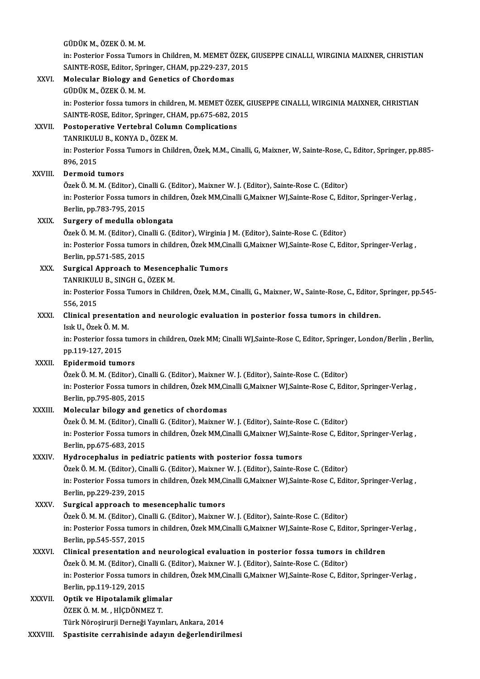|              | GÜDÜK M., ÖZEK Ö. M. M.                                                                                                                                                                 |
|--------------|-----------------------------------------------------------------------------------------------------------------------------------------------------------------------------------------|
|              | in: Posterior Fossa Tumors in Children, M. MEMET ÖZEK, GIUSEPPE CINALLI, WIRGINIA MAIXNER, CHRISTIAN                                                                                    |
|              | SAINTE-ROSE, Editor, Springer, CHAM, pp.229-237, 2015                                                                                                                                   |
| XXVI.        | Molecular Biology and Genetics of Chordomas                                                                                                                                             |
|              | GÜDÜK M., ÖZEK Ö. M. M.<br>in: Posterior fossa tumors in children, M. MEMET ÖZEK, GIUSEPPE CINALLI, WIRGINIA MAIXNER, CHRISTIAN                                                         |
|              | SAINTE-ROSE, Editor, Springer, CHAM, pp.675-682, 2015                                                                                                                                   |
| XXVII.       | Postoperative Vertebral Column Complications                                                                                                                                            |
|              | TANRIKULU B., KONYA D., ÖZEK M.                                                                                                                                                         |
|              | in: Posterior Fossa Tumors in Children, Özek, M.M., Cinalli, G, Maixner, W, Sainte-Rose, C., Editor, Springer, pp.885-                                                                  |
|              | 896, 2015                                                                                                                                                                               |
| XXVIII.      | Dermoid tumors                                                                                                                                                                          |
|              | Özek Ö. M. M. (Editor), Cinalli G. (Editor), Maixner W. J. (Editor), Sainte-Rose C. (Editor)                                                                                            |
|              | in: Posterior Fossa tumors in children, Özek MM, Cinalli G, Maixner WJ, Sainte-Rose C, Editor, Springer-Verlag,                                                                         |
| XXIX.        | Berlin, pp 783-795, 2015<br>Surgery of medulla oblongata                                                                                                                                |
|              | Özek Ö. M. M. (Editor), Cinalli G. (Editor), Wirginia J M. (Editor), Sainte-Rose C. (Editor)                                                                                            |
|              | in: Posterior Fossa tumors in children, Özek MM, Cinalli G, Maixner WJ, Sainte-Rose C, Editor, Springer-Verlag,                                                                         |
|              | Berlin, pp 571-585, 2015                                                                                                                                                                |
| XXX.         | <b>Surgical Approach to Mesencephalic Tumors</b>                                                                                                                                        |
|              | TANRIKULU B., SINGH G., ÖZEK M.                                                                                                                                                         |
|              | in: Posterior Fossa Tumors in Children, Özek, M.M., Cinalli, G., Maixner, W., Sainte-Rose, C., Editor, Springer, pp.545-                                                                |
|              | 556, 2015                                                                                                                                                                               |
| XXXI.        | Clinical presentation and neurologic evaluation in posterior fossa tumors in children.<br>Isık U, Özek Ö M M                                                                            |
|              | in: Posterior fossa tumors in children, Ozek MM; Cinalli WJ,Sainte-Rose C, Editor, Springer, London/Berlin, Berlin,                                                                     |
|              | pp 119-127, 2015                                                                                                                                                                        |
| <b>XXXII</b> | <b>Epidermoid tumors</b>                                                                                                                                                                |
|              | Özek Ö. M. M. (Editor), Cinalli G. (Editor), Maixner W. J. (Editor), Sainte-Rose C. (Editor)                                                                                            |
|              | in: Posterior Fossa tumors in children, Özek MM, Cinalli G, Maixner WJ, Sainte-Rose C, Editor, Springer-Verlag,                                                                         |
|              | Berlin, pp.795-805, 2015                                                                                                                                                                |
| XXXIII.      | Molecular bilogy and genetics of chordomas                                                                                                                                              |
|              | Özek Ö. M. M. (Editor), Cinalli G. (Editor), Maixner W. J. (Editor), Sainte-Rose C. (Editor)                                                                                            |
|              | in: Posterior Fossa tumors in children, Özek MM, Cinalli G, Maixner WJ, Sainte-Rose C, Editor, Springer-Verlag,<br>Berlin, pp.675-683, 2015                                             |
| XXXIV.       | Hydrocephalus in pediatric patients with posterior fossa tumors                                                                                                                         |
|              | Özek Ö. M. M. (Editor), Cinalli G. (Editor), Maixner W. J. (Editor), Sainte-Rose C. (Editor)                                                                                            |
|              | in: Posterior Fossa tumors in children, Özek MM, Cinalli G, Maixner WJ, Sainte-Rose C, Editor, Springer-Verlag,                                                                         |
|              | Berlin, pp.229-239, 2015                                                                                                                                                                |
| XXXV.        | Surgical approach to mesencephalic tumors                                                                                                                                               |
|              | Özek Ö. M. M. (Editor), Cinalli G. (Editor), Maixner W. J. (Editor), Sainte-Rose C. (Editor)                                                                                            |
|              | in: Posterior Fossa tumors in children, Özek MM, Cinalli G, Maixner WJ, Sainte-Rose C, Editor, Springer-Verlag,                                                                         |
|              | Berlin, pp 545-557, 2015                                                                                                                                                                |
| XXXVI.       | Clinical presentation and neurological evaluation in posterior fossa tumors in children<br>Özek Ö. M. M. (Editor), Cinalli G. (Editor), Maixner W. J. (Editor), Sainte-Rose C. (Editor) |
|              | in: Posterior Fossa tumors in children, Özek MM, Cinalli G, Maixner WJ, Sainte-Rose C, Editor, Springer-Verlag,                                                                         |
|              | Berlin, pp.119-129, 2015                                                                                                                                                                |
| XXXVII.      | Optik ve Hipotalamik glimalar                                                                                                                                                           |
|              | ÖZEK Ö. M. M., HİÇDÖNMEZ T.                                                                                                                                                             |
|              | Türk Nöroşirurji Derneği Yayınları, Ankara, 2014                                                                                                                                        |
| XXXVIII.     | Spastisite cerrahisinde adayın değerlendirilmesi                                                                                                                                        |
|              |                                                                                                                                                                                         |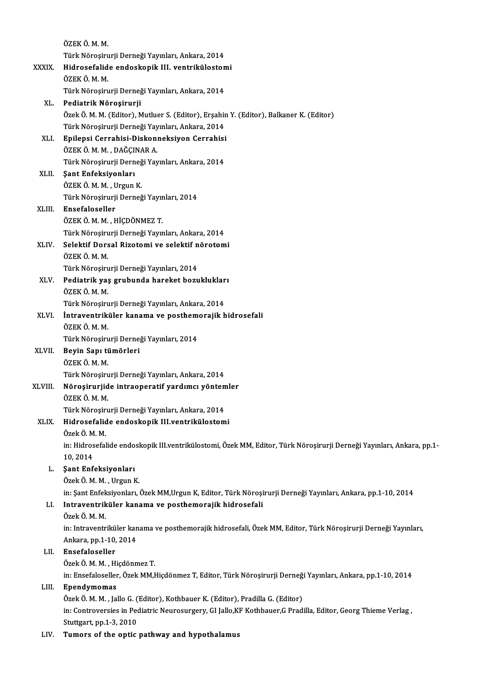|              | ÖZEK Ö M M                                                                                                           |
|--------------|----------------------------------------------------------------------------------------------------------------------|
|              | Türk Nöroşirurji Derneği Yayınları, Ankara, 2014                                                                     |
| XXXIX.       | Hidrosefalide endoskopik III. ventrikülostomi                                                                        |
|              | ÖZEK Ö. M. M.                                                                                                        |
|              | Türk Nöroşirurji Derneği Yayınları, Ankara, 2014                                                                     |
| XL.          | Pediatrik Nöroşirurji                                                                                                |
|              | Özek Ö. M. M. (Editor), Mutluer S. (Editor), Erşahin Y. (Editor), Balkaner K. (Editor)                               |
|              | Türk Nöroşirurji Derneği Yayınları, Ankara, 2014                                                                     |
| XLI.         | Epilepsi Cerrahisi-Diskonneksiyon Cerrahisi                                                                          |
|              | ÖZEK Ö. M. M., DAĞÇINAR A.                                                                                           |
|              | Türk Nöroşirurji Derneği Yayınları, Ankara, 2014                                                                     |
| XLII.        | Şant Enfeksiyonları                                                                                                  |
|              | ÖZEK Ö M M , Urgun K                                                                                                 |
|              | Türk Nöroşirurji Derneği Yayınları, 2014                                                                             |
| XLIII.       | Ensefaloseller                                                                                                       |
|              | ÖZEK Ö M M , HİÇDÖNMEZ T                                                                                             |
|              | Türk Nöroşirurji Derneği Yayınları, Ankara, 2014                                                                     |
|              | Selektif Dorsal Rizotomi ve selektif nörotomi                                                                        |
| XLIV.        | ÖZEK Ö. M. M.                                                                                                        |
|              |                                                                                                                      |
|              | Türk Nöroşirurji Derneği Yayınları, 2014                                                                             |
| XLV.         | Pediatrik yaş grubunda hareket bozuklukları<br>ÖZEK Ö. M. M.                                                         |
|              | Türk Nöroşirurji Derneği Yayınları, Ankara, 2014                                                                     |
| XLVI.        | İntraventriküler kanama ve posthemorajik hidrosefali                                                                 |
|              | ÖZEK Ö M M                                                                                                           |
|              | Türk Nöroşirurji Derneği Yayınları, 2014                                                                             |
| <b>XLVII</b> | Beyin Sapı tümörleri                                                                                                 |
|              | ÖZEKÖMM.                                                                                                             |
|              | Türk Nöroşirurji Derneği Yayınları, Ankara, 2014                                                                     |
| XLVIII.      | Nöroşirurjide intraoperatif yardımcı yöntemler                                                                       |
|              | ÖZEK Ö M M                                                                                                           |
|              | Türk Nöroşirurji Derneği Yayınları, Ankara, 2014                                                                     |
|              |                                                                                                                      |
| XLIX.        | Hidrosefalide endoskopik III.ventrikülostomi<br>Özek Ö. M. M.                                                        |
|              |                                                                                                                      |
|              | in: Hidrosefalide endoskopik III.ventrikülostomi, Özek MM, Editor, Türk Nöroşirurji Derneği Yayınları, Ankara, pp.1- |
|              | 10,2014                                                                                                              |
| L.           | Şant Enfeksiyonları                                                                                                  |
|              | Özek Ö. M. M., Urgun K.                                                                                              |
|              | in: Şant Enfeksiyonları, Özek MM, Urgun K, Editor, Türk Nöroşirurji Derneği Yayınları, Ankara, pp.1-10, 2014         |
| LI.          | Intraventriküler kanama ve posthemorajik hidrosefali<br>Özek Ö.M.M.                                                  |
|              |                                                                                                                      |
|              | in: Intraventriküler kanama ve posthemorajik hidrosefali, Özek MM, Editor, Türk Nöroşirurji Derneği Yayınları,       |
|              | Ankara, pp 1-10, 2014                                                                                                |
| LII.         | Ensefaloseller                                                                                                       |
|              | Özek Ö. M. M., Hiçdönmez T.                                                                                          |
|              | in: Ensefaloseller, Özek MM, Hiçdönmez T, Editor, Türk Nöroşirurji Derneği Yayınları, Ankara, pp.1-10, 2014          |
| LIII.        | Ependymomas                                                                                                          |
|              | Özek Ö. M. M., Jallo G. (Editor), Kothbauer K. (Editor), Pradilla G. (Editor)                                        |
|              | in: Controversies in Pediatric Neurosurgery, GI Jallo, KF Kothbauer, G Pradilla, Editor, Georg Thieme Verlag,        |
|              | Stuttgart, pp.1-3, 2010                                                                                              |
| LIV.         | Tumors of the optic pathway and hypothalamus                                                                         |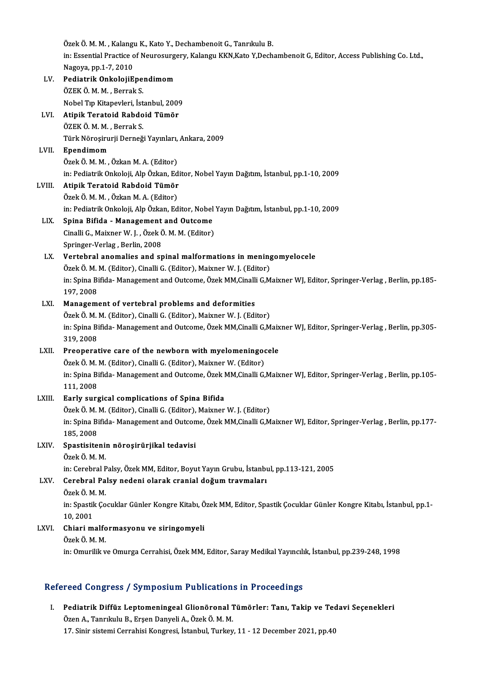Özek Ö. M. M. , Kalangu K., Kato Y., Dechambenoit G., Tanrıkulu B.<br>İn: Essential Prestige of Neurosurgery, Kalangu KKN Kato Y. Desh in: Essential Practice of Neurosurgery, Kalangu KKN,Kato Y,Dechambenoit G, Editor, Access Publishing Co. Ltd.,<br>Nagova, pp.1-7, 2010 Özek Ö. M. M. , Kalangı<br>in: Essential Practice c<br>Nagoya, pp.1-7, 2010<br>Podiatrik OpkalaiiE in: Essential Practice of Neurosurg<br>Nagoya, pp.1-7, 2010<br>LV. Pediatrik OnkolojiEpendimom Nagoya, pp.1-7, 2010<br><mark>Pediatrik OnkolojiEpe</mark>:<br>ÖZEK Ö. M. M. , Berrak S.<br>Nobel Tın Kitanevleri, İst ÖZEK Ö. M. M. , Berrak S.<br>Nobel Tıp Kitapevleri, İstanbul, 2009 ÖZEK Ö. M. M. , Berrak S.<br>Nobel Tıp Kitapevleri, İstanbul, 2009<br>LVI. **Atipik Teratoid Rabdoid Tümör**<br>ÖZEK Ö. M. M. Berrek S. Nobel Tıp Kitapevleri, İst<br><mark>Atipik Teratoid Rabdo</mark><br>ÖZEK Ö. M. M. , Berrak S.<br>Türk Nörosirurii Derneğ Atipik Teratoid Rabdoid Tümör<br>ÖZEK Ö. M. M. , Berrak S.<br>Türk Nöroşirurji Derneği Yayınları, Ankara, 2009<br>Fnandimam ÖZEK Ö. M. M. , Berrak S.<br>Türk Nöroşirurji Derneği Yayınları,<br>LVII. **Ependimom**<br>Özek Ö. M. M. , Özkan M. A. (Editor) Türk Nöroşirurji Derneği Yayınları,<br><mark>Ependimom</mark><br>Özek Ö. M. M. , Özkan M. A. (Editor)<br>inı Bediatrik Onkeleji, Alp Özkan, Ed Ependimom<br>Özek Ö. M. M. , Özkan M. A. (Editor)<br>in: Pediatrik Onkoloji, Alp Özkan, Editor, Nobel Yayın Dağıtım, İstanbul, pp.1-10, 2009<br>Atinik Terateid, Bahdoid Tümör Özek Ö. M. M. , Özkan M. A. (Editor)<br>in: Pediatrik Onkoloji, Alp Özkan, Edi<br>LVIII. **Atipik Teratoid Rabdoid Tümör**<br>Özek Ö. M. M. Özkan M. A. (Editor) Atipik Teratoid Rabdoid Tümör<br>Özek Ö.M.M., Özkan M.A. (Editor) Atipik Teratoid Rabdoid Tümör<br>Özek Ö. M. M. , Özkan M. A. (Editor)<br>in: Pediatrik Onkoloji, Alp Özkan, Editor, Nobel Yayın Dağıtım, İstanbul, pp.1-10, 2009<br>Snina Bifida - Manasament and Outsome Özek Ö. M. M. , Özkan M. A. (Editor)<br>in: Pediatrik Onkoloji, Alp Özkan, Editor, Nobel<br>LIX. Spina Bifida - Management and Outcome<br>Cinelli C. Meiyner W. J. Özek Ö. M. M. (Editor) in: Pediatrik Onkoloji, Alp Özkan, Editor, Nobel<br>Spina Bifida - Management and Outcome<br>Cinalli G., Maixner W. J. , Özek Ö. M. M. (Editor)<br>Springen Verleg, Berlin, 2009 Spina Bifida - Management<br>Cinalli G., Maixner W. J. , Özek Ö<br>Springer-Verlag , Berlin, 2008<br>Vertehrel anomalies and an Cinalli G., Maixner W. J. , Özek Ö. M. M. (Editor)<br>Springer-Verlag , Berlin, 2008<br>LX. Vertebral anomalies and spinal malformations in meningomyelocele Springer-Verlag , Berlin, 2008<br>Vertebral anomalies and spinal malformations in mening<br>Özek Ö. M. M. (Editor), Cinalli G. (Editor), Maixner W. J. (Editor)<br>in: Spina Bifida, Manazamant and Outsoma, Özek MM Ginalli G.M in: Spina Bifida-Management and Outcome, Özek MM,Cinalli G,Maixner WJ, Editor, Springer-Verlag , Berlin, pp.185-<br>197, 2008 Özek Ö. M.<br>in: Spina Bi<br>197, 2008<br>Managam in: Spina Bifida-Management and Outcome, Özek MM,Cinalli<br>197, 2008<br>LXI. Management of vertebral problems and deformities<br>Özek Ö.M.M. (Editor), Cinalli C. (Editor), Maiyner W.J. (Edi 197, 2008<br>Management of vertebral problems and deformities<br>Özek Ö. M. M. (Editor), Cinalli G. (Editor), Maixner W. J. (Editor)<br>in: Spina Bifida, Management and Outcome, Özek MM Ginalli C.M in: Spina Bifida-Management and Outcome, Özek MM,Cinalli G,Maixner WJ, Editor, Springer-Verlag , Berlin, pp.305-<br>319, 2008 Özek Ö. M. M. (Editor), Cinalli G. (Editor), Maixner W. J. (Editor) in: Spina Bifida- Management and Outcome, Özek MM,Cinalli G,Maix<br>319, 2008<br>LXII. Preoperative care of the newborn with myelomeningocele<br> $\frac{\partial}{\partial x}$ lxi $\frac{\partial}{\partial x}$ M, M, (Editor), Cinalli C, (Editor), Maiynar W, (Editor) 319, 2008<br>Preoperative care of the newborn with myelomeningood<br>Özek Ö. M. M. (Editor), Cinalli G. (Editor), Maixner W. (Editor)<br>in: Spine Bifide, Manasament and Qutsome, Özek MM Cinalli G. Preoperative care of the newborn with myelomeningocele<br>Özek Ö. M. M. (Editor), Cinalli G. (Editor), Maixner W. (Editor)<br>in: Spina Bifida- Management and Outcome, Özek MM,Cinalli G,Maixner WJ, Editor, Springer-Verlag , Berl Özek Ö. M.<br>in: Spina Bi<br>111, 2008<br>Farly sure in: Spina Bifida-Management and Outcome, Özek I<br>111, 2008<br>LXIII. Early surgical complications of Spina Bifida<br>Özek Ö.M.M. (Editor), Ginelli C. (Editor), Maiyner 111, 2008<br><mark>Early surgical complications of Spina Bifida</mark><br>Özek Ö. M. M. (Editor), Cinalli G. (Editor), Maixner W. J. (Editor)<br>in: Spina Bifida, Manazamant and Outsome, Özek MM Ginalli G.M Early surgical complications of Spina Bifida<br>Özek Ö. M. M. (Editor), Cinalli G. (Editor), Maixner W. J. (Editor)<br>in: Spina Bifida-Management and Outcome, Özek MM,Cinalli G,Maixner WJ, Editor, Springer-Verlag , Berlin, pp.1 Özek Ö. M.<br>in: Spina Bi<br>185, 2008<br>Spectiaite in: Spina Bifida- Management and Outcon<br>185, 2008<br>LXIV. Spastisitenin nöroşirürjikal tedavisi<br>Örek Ö.M.M 185, 2008<br>Spastisitenii<br>Özek Ö. M. M.<br>in: Carebral B Özek Ö. M. M.<br>in: Cerebral Palsy, Özek MM, Editor, Boyut Yayın Grubu, İstanbul, pp.113-121, 2005 Özek Ö. M. M.<br>in: Cerebral Palsy, Özek MM, Editor, Boyut Yayın Grubu, İstanbı<br>LXV. Cerebral Palsy nedeni olarak cranial doğum travmaları<br>Özek Ö. M. M in: Cerebral P<br><mark>Cerebral Pa</mark><br>Özek Ö. M. M.<br>in: Spestik Co Cerebral Palsy nedeni olarak cranial doğum travmaları<br>Özek Ö. M. M.<br>in: Spastik Çocuklar Günler Kongre Kitabı, Özek MM, Editor, Spastik Çocuklar Günler Kongre Kitabı, İstanbul, pp.1-<br>10.2001 Özek Ö. M<br>in: Spastik<br>10, 2001<br>Chiori m in: Spastik Çocuklar Günler Kongre Kitabı, Ö<br>10, 2001<br>LXVI. Chiari malformasyonu ve siringomyeli<br>Özek Ö M M 10, 2001<br>Chiari malfo<br>Özek Ö. M. M.<br>in: Omurilik v Özek Ö. M. M.<br>in: Omurilik ve Omurga Cerrahisi, Özek MM, Editor, Saray Medikal Yayıncılık, İstanbul, pp.239-248, 1998

### Refereed Congress / Symposium Publications in Proceedings

efereed Congress / Symposium Publications in Proceedings<br>I. Pediatrik Diffüz Leptomeningeal Glionöronal Tümörler: Tanı, Takip ve Tedavi Seçenekleri<br>Özen A. Tanrılıylı: B. Freen Danyeli A. Özek Ö.M. M Özen A., Tanrıkulu B., Erşen Danyeli A., Özek Ö. M. M.<br>17. Sinir sistemi Cerrahisi Kongresi, İstanbul, Turkey, 11 - 12 December 2021, pp.40 Pediatrik Diffüz Leptomeningeal Glionöronal Tümörler: Tanı, Takip ve Tec<br>Özen A., Tanrıkulu B., Erşen Danyeli A., Özek Ö. M. M.<br>17. Sinir sistemi Cerrahisi Kongresi, İstanbul, Turkey, 11 - 12 December 2021, pp.40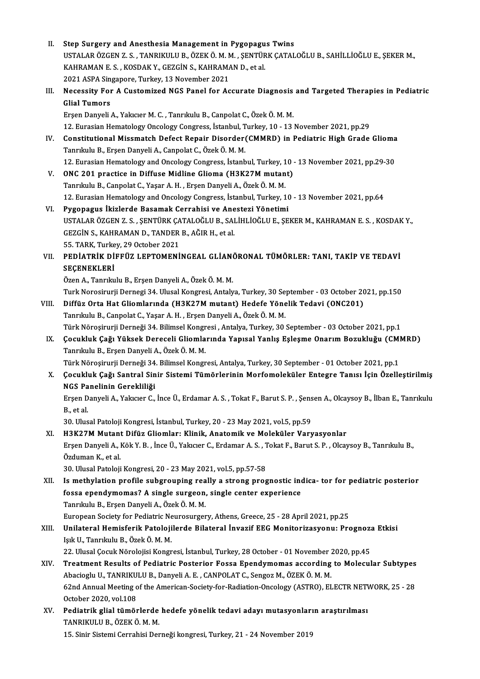| Н.    | Step Surgery and Anesthesia Management in Pygopagus Twins                                                                 |
|-------|---------------------------------------------------------------------------------------------------------------------------|
|       | USTALAR ÖZGEN Z.S., TANRIKULU B., ÖZEK Ö. M. M., ŞENTÜRK ÇATALOĞLU B., SAHİLLİOĞLU E., ŞEKER M.,                          |
|       | KAHRAMAN E. S., KOSDAK Y., GEZGİN S., KAHRAMAN D., et al.                                                                 |
|       | 2021 ASPA Singapore, Turkey, 13 November 2021                                                                             |
| III.  | Necessity For A Customized NGS Panel for Accurate Diagnosis and Targeted Therapies in Pediatric                           |
|       | <b>Glial Tumors</b>                                                                                                       |
|       | Erşen Danyeli A., Yakıcıer M. C., Tanrıkulu B., Canpolat C., Özek Ö. M. M.                                                |
|       | 12. Eurasian Hematology Oncology Congress, İstanbul, Turkey, 10 - 13 November 2021, pp.29                                 |
| IV.   | Constitutional Missmatch Defect Repair Disorder(CMMRD) in Pediatric High Grade Glioma                                     |
|       | Tanrıkulu B., Erşen Danyeli A., Canpolat C., Özek Ö. M. M.                                                                |
|       | 12. Eurasian Hematology and Oncology Congress, İstanbul, Turkey, 10 - 13 November 2021, pp.29-30                          |
| V.    | ONC 201 practice in Diffuse Midline Glioma (H3K27M mutant)                                                                |
|       | Tanrıkulu B., Canpolat C., Yaşar A. H., Erşen Danyeli A., Özek Ö. M. M.                                                   |
|       | 12. Eurasian Hematology and Oncology Congress, İstanbul, Turkey, 10 - 13 November 2021, pp.64                             |
| VI.   | Pygopagus İkizlerde Basamak Cerrahisi ve Anestezi Yönetimi                                                                |
|       | USTALAR ÖZGEN Z. S., ŞENTÜRK ÇATALOĞLU B., SALİHLİOĞLU E., ŞEKER M., KAHRAMAN E. S., KOSDAK Y.,                           |
|       | GEZGİN S., KAHRAMAN D., TANDER B., AĞIR H., et al.                                                                        |
|       | 55. TARK, Turkey, 29 October 2021                                                                                         |
| VII.  | PEDIATRIK DIFFÜZ LEPTOMENINGEAL GLIANÖRONAL TÜMÖRLER: TANI, TAKİP VE TEDAVI                                               |
|       | SEÇENEKLERİ                                                                                                               |
|       | Özen A., Tanrıkulu B., Erşen Danyeli A., Özek Ö. M. M.                                                                    |
|       | Turk Norosirurji Dernegi 34. Ulusal Kongresi, Antalya, Turkey, 30 September - 03 October 2021, pp.150                     |
| VIII. | Diffüz Orta Hat Gliomlarında (H3K27M mutant) Hedefe Yönelik Tedavi (ONC201)                                               |
|       | Tanrıkulu B., Canpolat C., Yaşar A. H., Erşen Danyeli A., Özek Ö. M. M.                                                   |
|       | Türk Nöroşirurji Derneği 34. Bilimsel Kongresi, Antalya, Turkey, 30 September - 03 October 2021, pp.1                     |
| IX.   | Çocukluk Çağı Yüksek Dereceli Gliomlarında Yapısal Yanlış Eşleşme Onarım Bozukluğu (CMMRD)                                |
|       | Tanrıkulu B., Erşen Danyeli A., Özek Ö. M. M.                                                                             |
|       | Türk Nöroşirurji Derneği 34. Bilimsel Kongresi, Antalya, Turkey, 30 September - 01 October 2021, pp.1                     |
| X.    | Çocukluk Çağı Santral Sinir Sistemi Tümörlerinin Morfomoleküler Entegre Tanısı İçin Özelleştirilmiş                       |
|       | NGS Panelinin Gerekliliği                                                                                                 |
|       | Erşen Danyeli A., Yakıcıer C., İnce Ü., Erdamar A. S., Tokat F., Barut S. P., Şensen A., Olcaysoy B., İlban E., Tanrıkulu |
|       | B, et al.                                                                                                                 |
|       | 30. Ulusal Patoloji Kongresi, İstanbul, Turkey, 20 - 23 May 2021, vol.5, pp.59                                            |
| XI.   | H3K27M Mutant Difüz Gliomlar: Klinik, Anatomik ve Moleküler Varyasyonlar                                                  |
|       | Erşen Danyeli A., Kök Y. B., İnce Ü., Yakıcıer C., Erdamar A. S., Tokat F., Barut S. P., Olcaysoy B., Tanrıkulu B.,       |
|       | Özduman K, et al.                                                                                                         |
|       | 30. Ulusal Patoloji Kongresi, 20 - 23 May 2021, vol.5, pp.57-58                                                           |
| XII.  | Is methylation profile subgrouping really a strong prognostic indica- tor for pediatric posterior                         |
|       | fossa ependymomas? A single surgeon, single center experience                                                             |
|       | Tanrıkulu B., Erşen Danyeli A., Özek Ö. M. M.                                                                             |
|       | European Society for Pediatric Neurosurgery, Athens, Greece, 25 - 28 April 2021, pp.25                                    |
| XIII. | Unilateral Hemisferik Patolojilerde Bilateral İnvazif EEG Monitorizasyonu: Prognoza Etkisi                                |
|       | Işık U., Tanrıkulu B., Özek Ö. M. M.                                                                                      |
|       | 22. Ulusal Çocuk Nörolojisi Kongresi, İstanbul, Turkey, 28 October - 01 November 2020, pp.45                              |
| XIV.  | Treatment Results of Pediatric Posterior Fossa Ependymomas according to Molecular Subtypes                                |
|       | Abacioglu U., TANRIKULU B., Danyeli A. E., CANPOLAT C., Sengoz M., ÖZEK Ö. M. M.                                          |
|       | 62nd Annual Meeting of the American-Society-for-Radiation-Oncology (ASTRO), ELECTR NETWORK, 25 - 28                       |
|       | October 2020, vol.108                                                                                                     |
| XV.   | Pediatrik glial tümörlerde hedefe yönelik tedavi adayı mutasyonların araştırılması                                        |
|       | TANRIKULU B., ÖZEK Ö. M. M.                                                                                               |

15.Sinir SistemiCerrahisiDerneğikongresi,Turkey,21 -24November 2019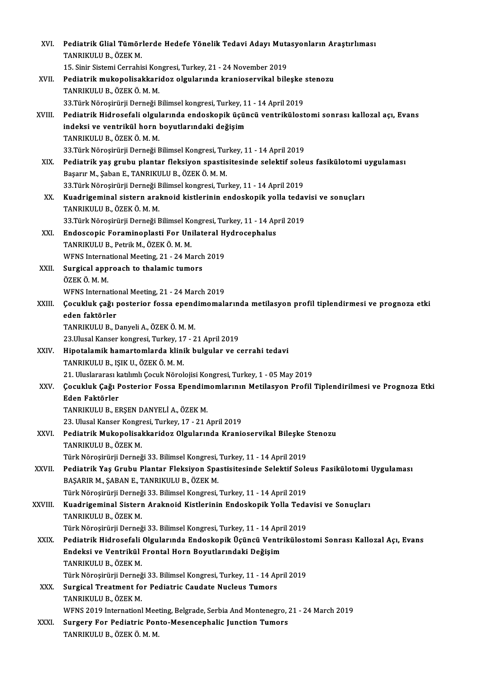| XVI.    | Pediatrik Glial Tümörlerde Hedefe Yönelik Tedavi Adayı Mutasyonların Araştırlıması                         |
|---------|------------------------------------------------------------------------------------------------------------|
|         | TANRIKULU B., ÖZEK M.                                                                                      |
|         | 15. Sinir Sistemi Cerrahisi Kongresi, Turkey, 21 - 24 November 2019                                        |
| XVII.   | Pediatrik mukopolisakkaridoz olgularında kranioservikal bileşke stenozu                                    |
|         | TANRIKULU B., ÖZEK Ö. M. M.                                                                                |
|         | 33. Türk Nöroşirürji Derneği Bilimsel kongresi, Turkey, 11 - 14 April 2019                                 |
| XVIII.  | Pediatrik Hidrosefali olgularında endoskopik üçüncü ventrikülostomi sonrası kallozal açı, Evans            |
|         | indeksi ve ventrikül horn boyutlarındaki değişim                                                           |
|         | TANRIKULU B., ÖZEK Ö. M. M.                                                                                |
|         | 33 Türk Nöroşirürji Derneği Bilimsel Kongresi, Turkey, 11 - 14 April 2019                                  |
| XIX.    | Pediatrik yaş grubu plantar fleksiyon spastisitesinde selektif soleus fasikülotomi uygulaması              |
|         | Başarır M., Şaban E., TANRIKULU B., ÖZEK Ö. M. M.                                                          |
|         | 33. Türk Nöroşirürji Derneği Bilimsel kongresi, Turkey, 11 - 14 April 2019                                 |
| XX.     | Kuadrigeminal sistern araknoid kistlerinin endoskopik yolla tedavisi ve sonuçları                          |
|         | TANRIKULU B., ÖZEK Ö. M. M.                                                                                |
|         | 33. Türk Nöroşirürji Derneği Bilimsel Kongresi, Turkey, 11 - 14 April 2019                                 |
| XXI.    | Endoscopic Foraminoplasti For Unilateral Hydrocephalus                                                     |
|         | TANRIKULU B., Petrik M., ÖZEK Ö. M. M.                                                                     |
|         | WFNS International Meeting, 21 - 24 March 2019                                                             |
| XXII.   | Surgical approach to thalamic tumors                                                                       |
|         | ÖZEK Ö M M                                                                                                 |
|         | WFNS International Meeting, 21 - 24 March 2019                                                             |
| XXIII.  | Çocukluk çağı posterior fossa ependimomalarında metilasyon profil tiplendirmesi ve prognoza etki           |
|         | eden faktörler                                                                                             |
|         | TANRIKULU B., Danyeli A., ÖZEK Ö. M. M.                                                                    |
|         | 23 Ulusal Kanser kongresi, Turkey, 17 - 21 April 2019                                                      |
| XXIV.   | Hipotalamik hamartomlarda klinik bulgular ve cerrahi tedavi                                                |
|         | TANRIKULU B., IŞIK U., ÖZEK Ö. M. M.                                                                       |
|         | 21. Uluslararası katılımlı Çocuk Nörolojisi Kongresi, Turkey, 1 - 05 May 2019                              |
| XXV     | Çocukluk Çağı Posterior Fossa Ependimomlarının Metilasyon Profil Tiplendirilmesi ve Prognoza Etki          |
|         | Eden Faktörler                                                                                             |
|         | TANRIKULU B., ERŞEN DANYELİ A., ÖZEK M.                                                                    |
|         | 23. Ulusal Kanser Kongresi, Turkey, 17 - 21 April 2019                                                     |
| XXVI.   | Pediatrik Mukopolisakkaridoz Olgularında Kranioservikal Bileşke Stenozu                                    |
|         | TANRIKULU B., ÖZEK M.                                                                                      |
|         | Türk Nöroşirürji Derneği 33. Bilimsel Kongresi, Turkey, 11 - 14 April 2019                                 |
| XXVII.  | Pediatrik Yaş Grubu Plantar Fleksiyon Spastisitesinde Selektif Soleus Fasikülotomi Uygulaması              |
|         | BAŞARIR M., ŞABAN E., TANRIKULU B., ÖZEK M.                                                                |
|         | Türk Nöroşirürji Derneği 33. Bilimsel Kongresi, Turkey, 11 - 14 April 2019                                 |
| XXVIII. | Kuadrigeminal Sistern Araknoid Kistlerinin Endoskopik Yolla Tedavisi ve Sonuçları<br>TANRIKULU B., ÖZEK M. |
|         | Türk Nöroşirürji Derneği 33. Bilimsel Kongresi, Turkey, 11 - 14 April 2019                                 |
| XXIX.   | Pediatrik Hidrosefali Olgularında Endoskopik Üçüncü Ventrikülostomi Sonrası Kallozal Açı, Evans            |
|         | Endeksi ve Ventrikül Frontal Horn Boyutlarındaki Değişim                                                   |
|         | TANRIKULU B., ÖZEK M.                                                                                      |
|         | Türk Nöroşirürji Derneği 33. Bilimsel Kongresi, Turkey, 11 - 14 April 2019                                 |
| XXX.    | Surgical Treatment for Pediatric Caudate Nucleus Tumors                                                    |
|         | TANRIKULU B., ÖZEK M.                                                                                      |
|         | WFNS 2019 Internationl Meeting, Belgrade, Serbia And Montenegro, 21 - 24 March 2019                        |
| XXXI.   | Surgery For Pediatric Ponto-Mesencephalic Junction Tumors                                                  |
|         | TANRIKULU B., ÖZEK Ö. M. M.                                                                                |
|         |                                                                                                            |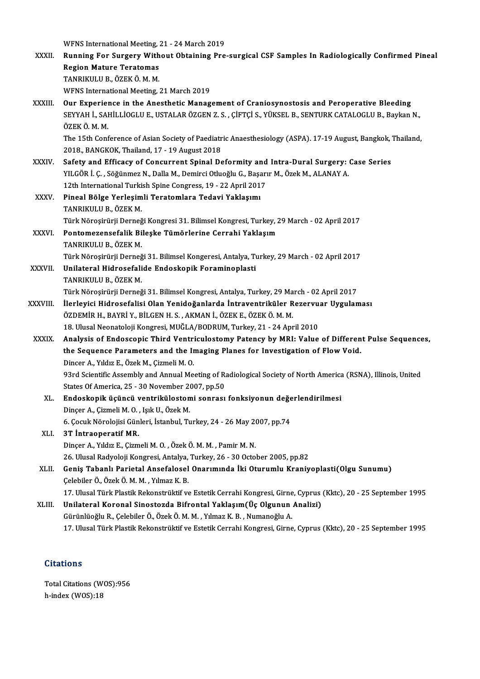WFNS International Meeting, 21 - 24 March 2019<br>Punning For Surgery Without Obtaining Pro

|              | WFNS International Meeting, 21 - 24 March 2019                                                                       |
|--------------|----------------------------------------------------------------------------------------------------------------------|
| XXXII.       | Running For Surgery Without Obtaining Pre-surgical CSF Samples In Radiologically Confirmed Pineal                    |
|              | <b>Region Mature Teratomas</b>                                                                                       |
|              | TANRIKULU B., ÖZEK Ö. M. M.                                                                                          |
|              | WFNS International Meeting, 21 March 2019                                                                            |
| XXXIII.      | Our Experience in the Anesthetic Management of Craniosynostosis and Peroperative Bleeding                            |
|              | SEYYAH İ., SAHİLLİOGLU E., USTALAR ÖZGEN Z. S., ÇİFTÇİ S., YÜKSEL B., SENTURK CATALOGLU B., Baykan N.,<br>ÖZEK Ö M M |
|              | The 15th Conference of Asian Society of Paediatric Anaesthesiology (ASPA). 17-19 August, Bangkok, Thailand,          |
|              | 2018, BANGKOK, Thailand, 17 - 19 August 2018                                                                         |
| <b>XXXIV</b> | Safety and Efficacy of Concurrent Spinal Deformity and Intra-Dural Surgery: Case Series                              |
|              | YILGÖR İ. Ç., Söğünmez N., Dalla M., Demirci Otluoğlu G., Başarır M., Özek M., ALANAY A.                             |
|              | 12th International Turkish Spine Congress, 19 - 22 April 2017                                                        |
| XXXV.        | Pineal Bölge Yerleşimli Teratomlara Tedavi Yaklaşımı                                                                 |
|              | TANRIKULU B., ÖZEK M.                                                                                                |
|              | Türk Nöroşirürji Derneği Kongresi 31. Bilimsel Kongresi, Turkey, 29 March - 02 April 2017                            |
| XXXVI.       | Pontomezensefalik Bileşke Tümörlerine Cerrahi Yaklaşım                                                               |
|              | TANRIKULU B., ÖZEK M.                                                                                                |
|              | Türk Nöroşirürji Derneği 31. Bilimsel Kongeresi, Antalya, Turkey, 29 March - 02 April 2017                           |
| XXXVII.      | Unilateral Hidrosefalide Endoskopik Foraminoplasti                                                                   |
|              | TANRIKULU B., ÖZEK M.                                                                                                |
|              | Türk Nöroşirürji Derneği 31. Bilimsel Kongresi, Antalya, Turkey, 29 March - 02 April 2017                            |
| XXXVIII.     | İlerleyici Hidrosefalisi Olan Yenidoğanlarda İntraventriküler Rezervuar Uygulaması                                   |
|              | ÖZDEMİR H., BAYRİ Y., BİLGEN H. S., AKMAN İ., ÖZEK E., ÖZEK Ö. M. M.                                                 |
|              | 18. Ulusal Neonatoloji Kongresi, MUĞLA/BODRUM, Turkey, 21 - 24 April 2010                                            |
| <b>XXXIX</b> | Analysis of Endoscopic Third Ventriculostomy Patency by MRI: Value of Different Pulse Sequences,                     |
|              | the Sequence Parameters and the Imaging Planes for Investigation of Flow Void.                                       |
|              | Dincer A., Yıldız E., Özek M., Çizmeli M. O.                                                                         |
|              | 93rd Scientific Assembly and Annual Meeting of Radiological Society of North America (RSNA), Illinois, United        |
|              | States Of America, 25 - 30 November 2007, pp 50                                                                      |
| XL.          | Endoskopik üçüncü ventrikülostomi sonrası fonksiyonun değerlendirilmesi<br>Dinçer A, Cizmeli M. O., Işık U, Özek M.  |
|              |                                                                                                                      |
|              | 6. Çocuk Nörolojisi Günleri, İstanbul, Turkey, 24 - 26 May 2007, pp.74                                               |
| XLI.         | 3T Intraoperatif MR.<br>Dinçer A., Yıldız E., Çizmeli M. O., Özek Ö. M. M., Pamir M. N.                              |
|              | 26. Ulusal Radyoloji Kongresi, Antalya, Turkey, 26 - 30 October 2005, pp.82                                          |
| XLII.        | Geniş Tabanlı Parietal Ansefalosel Onarımında İki Oturumlu Kraniyoplasti(Olgu Sunumu)                                |
|              | Çelebiler Ö., Özek Ö. M. M., Yılmaz K. B.                                                                            |
|              | 17. Ulusal Türk Plastik Rekonstrüktif ve Estetik Cerrahi Kongresi, Girne, Cyprus (Kktc), 20 - 25 September 1995      |
| XLIII.       | Unilateral Koronal Sinostozda Bifrontal Yaklaşım (Üç Olgunun Analizi)                                                |
|              | Gürünlüoğlu R., Çelebiler Ö., Özek Ö. M. M., Yılmaz K. B., Numanoğlu A.                                              |
|              | 17. Ulusal Türk Plastik Rekonstrüktif ve Estetik Cerrahi Kongresi, Girne, Cyprus (Kktc), 20 - 25 September 1995      |
|              |                                                                                                                      |

## **Citations**

Citations<br>Total Citations (WOS):956<br>b.indox (WOS):18 h-index (WOS):18